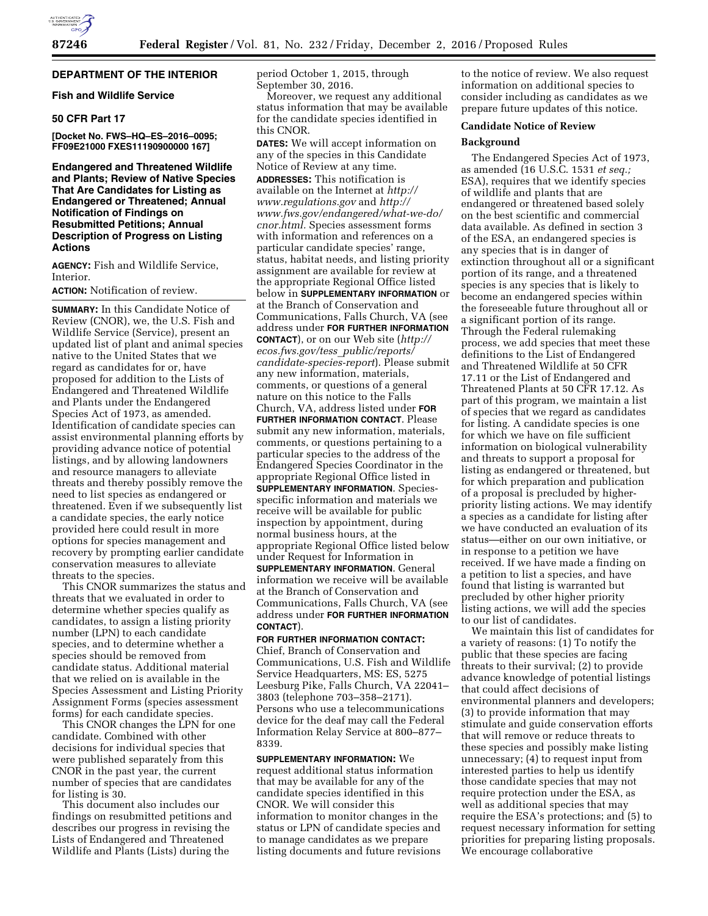## **DEPARTMENT OF THE INTERIOR**

## **Fish and Wildlife Service**

## **50 CFR Part 17**

**[Docket No. FWS–HQ–ES–2016–0095; FF09E21000 FXES11190900000 167]** 

**Endangered and Threatened Wildlife and Plants; Review of Native Species That Are Candidates for Listing as Endangered or Threatened; Annual Notification of Findings on Resubmitted Petitions; Annual Description of Progress on Listing Actions** 

**AGENCY:** Fish and Wildlife Service, Interior.

**ACTION:** Notification of review.

**SUMMARY:** In this Candidate Notice of Review (CNOR), we, the U.S. Fish and Wildlife Service (Service), present an updated list of plant and animal species native to the United States that we regard as candidates for or, have proposed for addition to the Lists of Endangered and Threatened Wildlife and Plants under the Endangered Species Act of 1973, as amended. Identification of candidate species can assist environmental planning efforts by providing advance notice of potential listings, and by allowing landowners and resource managers to alleviate threats and thereby possibly remove the need to list species as endangered or threatened. Even if we subsequently list a candidate species, the early notice provided here could result in more options for species management and recovery by prompting earlier candidate conservation measures to alleviate threats to the species.

This CNOR summarizes the status and threats that we evaluated in order to determine whether species qualify as candidates, to assign a listing priority number (LPN) to each candidate species, and to determine whether a species should be removed from candidate status. Additional material that we relied on is available in the Species Assessment and Listing Priority Assignment Forms (species assessment forms) for each candidate species.

This CNOR changes the LPN for one candidate. Combined with other decisions for individual species that were published separately from this CNOR in the past year, the current number of species that are candidates for listing is 30.

This document also includes our findings on resubmitted petitions and describes our progress in revising the Lists of Endangered and Threatened Wildlife and Plants (Lists) during the

period October 1, 2015, through September 30, 2016.

Moreover, we request any additional status information that may be available for the candidate species identified in this CNOR.

**DATES:** We will accept information on any of the species in this Candidate Notice of Review at any time. **ADDRESSES:** This notification is available on the Internet at *http:// www.regulations.gov* and *http:// www.fws.gov/endangered/what-we-do/ cnor.html.* Species assessment forms with information and references on a particular candidate species' range, status, habitat needs, and listing priority assignment are available for review at the appropriate Regional Office listed below in **SUPPLEMENTARY INFORMATION** or at the Branch of Conservation and Communications, Falls Church, VA (see address under **FOR FURTHER INFORMATION CONTACT**), or on our Web site (*http:// ecos.fws.gov/tess*\_*public/reports/ candidate-species-report*). Please submit any new information, materials, comments, or questions of a general nature on this notice to the Falls Church, VA, address listed under **FOR FURTHER INFORMATION CONTACT**. Please submit any new information, materials, comments, or questions pertaining to a particular species to the address of the Endangered Species Coordinator in the appropriate Regional Office listed in **SUPPLEMENTARY INFORMATION**. Speciesspecific information and materials we receive will be available for public inspection by appointment, during normal business hours, at the appropriate Regional Office listed below under Request for Information in **SUPPLEMENTARY INFORMATION**. General information we receive will be available at the Branch of Conservation and Communications, Falls Church, VA (see address under **FOR FURTHER INFORMATION CONTACT**).

**FOR FURTHER INFORMATION CONTACT:**  Chief, Branch of Conservation and Communications, U.S. Fish and Wildlife Service Headquarters, MS: ES, 5275 Leesburg Pike, Falls Church, VA 22041– 3803 (telephone 703–358–2171). Persons who use a telecommunications device for the deaf may call the Federal Information Relay Service at 800–877– 8339.

**SUPPLEMENTARY INFORMATION:** We request additional status information that may be available for any of the candidate species identified in this CNOR. We will consider this information to monitor changes in the status or LPN of candidate species and to manage candidates as we prepare listing documents and future revisions

to the notice of review. We also request information on additional species to consider including as candidates as we prepare future updates of this notice.

## **Candidate Notice of Review**

#### **Background**

The Endangered Species Act of 1973, as amended (16 U.S.C. 1531 *et seq.;*  ESA), requires that we identify species of wildlife and plants that are endangered or threatened based solely on the best scientific and commercial data available. As defined in section 3 of the ESA, an endangered species is any species that is in danger of extinction throughout all or a significant portion of its range, and a threatened species is any species that is likely to become an endangered species within the foreseeable future throughout all or a significant portion of its range. Through the Federal rulemaking process, we add species that meet these definitions to the List of Endangered and Threatened Wildlife at 50 CFR 17.11 or the List of Endangered and Threatened Plants at 50 CFR 17.12. As part of this program, we maintain a list of species that we regard as candidates for listing. A candidate species is one for which we have on file sufficient information on biological vulnerability and threats to support a proposal for listing as endangered or threatened, but for which preparation and publication of a proposal is precluded by higherpriority listing actions. We may identify a species as a candidate for listing after we have conducted an evaluation of its status—either on our own initiative, or in response to a petition we have received. If we have made a finding on a petition to list a species, and have found that listing is warranted but precluded by other higher priority listing actions, we will add the species to our list of candidates.

We maintain this list of candidates for a variety of reasons: (1) To notify the public that these species are facing threats to their survival; (2) to provide advance knowledge of potential listings that could affect decisions of environmental planners and developers; (3) to provide information that may stimulate and guide conservation efforts that will remove or reduce threats to these species and possibly make listing unnecessary; (4) to request input from interested parties to help us identify those candidate species that may not require protection under the ESA, as well as additional species that may require the ESA's protections; and (5) to request necessary information for setting priorities for preparing listing proposals. We encourage collaborative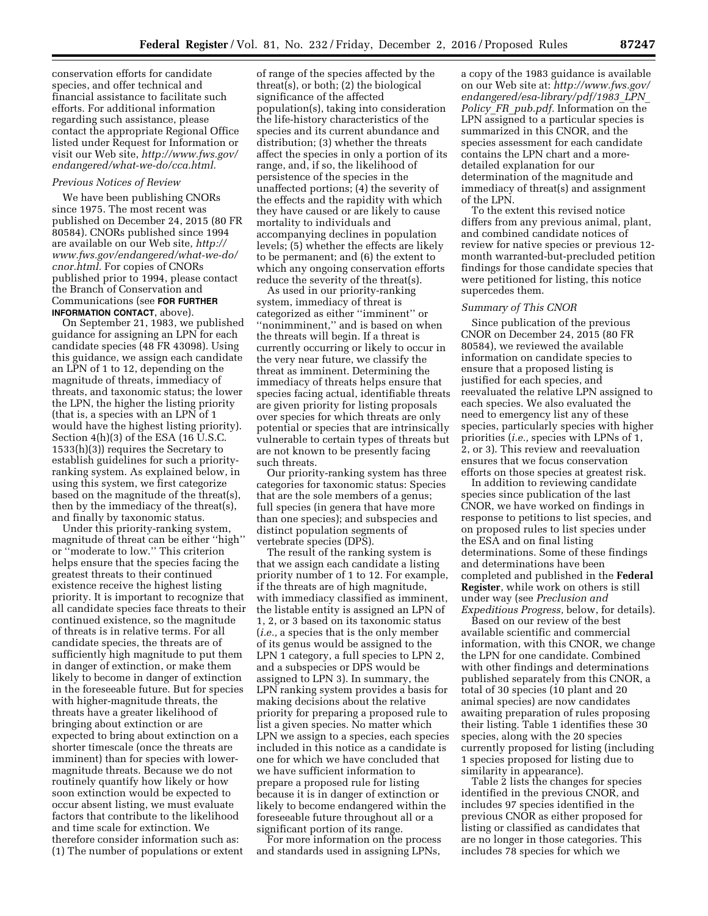conservation efforts for candidate species, and offer technical and financial assistance to facilitate such efforts. For additional information regarding such assistance, please contact the appropriate Regional Office listed under Request for Information or visit our Web site, *http://www.fws.gov/ endangered/what-we-do/cca.html.* 

## *Previous Notices of Review*

We have been publishing CNORs since 1975. The most recent was published on December 24, 2015 (80 FR 80584). CNORs published since 1994 are available on our Web site, *http:// www.fws.gov/endangered/what-we-do/ cnor.html.* For copies of CNORs published prior to 1994, please contact the Branch of Conservation and Communications (see **FOR FURTHER INFORMATION CONTACT**, above).

On September 21, 1983, we published guidance for assigning an LPN for each candidate species (48 FR 43098). Using this guidance, we assign each candidate an LPN of 1 to 12, depending on the magnitude of threats, immediacy of threats, and taxonomic status; the lower the LPN, the higher the listing priority (that is, a species with an LPN of 1 would have the highest listing priority). Section 4(h)(3) of the ESA (16 U.S.C. 1533(h)(3)) requires the Secretary to establish guidelines for such a priorityranking system. As explained below, in using this system, we first categorize based on the magnitude of the threat(s), then by the immediacy of the threat(s), and finally by taxonomic status.

Under this priority-ranking system, magnitude of threat can be either ''high'' or ''moderate to low.'' This criterion helps ensure that the species facing the greatest threats to their continued existence receive the highest listing priority. It is important to recognize that all candidate species face threats to their continued existence, so the magnitude of threats is in relative terms. For all candidate species, the threats are of sufficiently high magnitude to put them in danger of extinction, or make them likely to become in danger of extinction in the foreseeable future. But for species with higher-magnitude threats, the threats have a greater likelihood of bringing about extinction or are expected to bring about extinction on a shorter timescale (once the threats are imminent) than for species with lowermagnitude threats. Because we do not routinely quantify how likely or how soon extinction would be expected to occur absent listing, we must evaluate factors that contribute to the likelihood and time scale for extinction. We therefore consider information such as: (1) The number of populations or extent

of range of the species affected by the threat(s), or both; (2) the biological significance of the affected population(s), taking into consideration the life-history characteristics of the species and its current abundance and distribution; (3) whether the threats affect the species in only a portion of its range, and, if so, the likelihood of persistence of the species in the unaffected portions; (4) the severity of the effects and the rapidity with which they have caused or are likely to cause mortality to individuals and accompanying declines in population levels; (5) whether the effects are likely to be permanent; and (6) the extent to which any ongoing conservation efforts reduce the severity of the threat(s).

As used in our priority-ranking system, immediacy of threat is categorized as either ''imminent'' or ''nonimminent,'' and is based on when the threats will begin. If a threat is currently occurring or likely to occur in the very near future, we classify the threat as imminent. Determining the immediacy of threats helps ensure that species facing actual, identifiable threats are given priority for listing proposals over species for which threats are only potential or species that are intrinsically vulnerable to certain types of threats but are not known to be presently facing such threats.

Our priority-ranking system has three categories for taxonomic status: Species that are the sole members of a genus; full species (in genera that have more than one species); and subspecies and distinct population segments of vertebrate species (DPS).

The result of the ranking system is that we assign each candidate a listing priority number of 1 to 12. For example, if the threats are of high magnitude, with immediacy classified as imminent, the listable entity is assigned an LPN of 1, 2, or 3 based on its taxonomic status (*i.e.,* a species that is the only member of its genus would be assigned to the LPN 1 category, a full species to LPN 2, and a subspecies or DPS would be assigned to LPN 3). In summary, the LPN ranking system provides a basis for making decisions about the relative priority for preparing a proposed rule to list a given species. No matter which LPN we assign to a species, each species included in this notice as a candidate is one for which we have concluded that we have sufficient information to prepare a proposed rule for listing because it is in danger of extinction or likely to become endangered within the foreseeable future throughout all or a significant portion of its range.

For more information on the process and standards used in assigning LPNs,

a copy of the 1983 guidance is available on our Web site at: *http://www.fws.gov/ endangered/esa-library/pdf/1983*\_*LPN*\_ *Policy*\_*FR*\_*pub.pdf.* Information on the LPN assigned to a particular species is summarized in this CNOR, and the species assessment for each candidate contains the LPN chart and a moredetailed explanation for our determination of the magnitude and immediacy of threat(s) and assignment of the LPN.

To the extent this revised notice differs from any previous animal, plant, and combined candidate notices of review for native species or previous 12 month warranted-but-precluded petition findings for those candidate species that were petitioned for listing, this notice supercedes them.

## *Summary of This CNOR*

Since publication of the previous CNOR on December 24, 2015 (80 FR 80584), we reviewed the available information on candidate species to ensure that a proposed listing is justified for each species, and reevaluated the relative LPN assigned to each species. We also evaluated the need to emergency list any of these species, particularly species with higher priorities (*i.e.,* species with LPNs of 1, 2, or 3). This review and reevaluation ensures that we focus conservation efforts on those species at greatest risk.

In addition to reviewing candidate species since publication of the last CNOR, we have worked on findings in response to petitions to list species, and on proposed rules to list species under the ESA and on final listing determinations. Some of these findings and determinations have been completed and published in the **Federal Register**, while work on others is still under way (see *Preclusion and Expeditious Progress,* below, for details).

Based on our review of the best available scientific and commercial information, with this CNOR, we change the LPN for one candidate. Combined with other findings and determinations published separately from this CNOR, a total of 30 species (10 plant and 20 animal species) are now candidates awaiting preparation of rules proposing their listing. Table 1 identifies these 30 species, along with the 20 species currently proposed for listing (including 1 species proposed for listing due to similarity in appearance).

Table 2 lists the changes for species identified in the previous CNOR, and includes 97 species identified in the previous CNOR as either proposed for listing or classified as candidates that are no longer in those categories. This includes 78 species for which we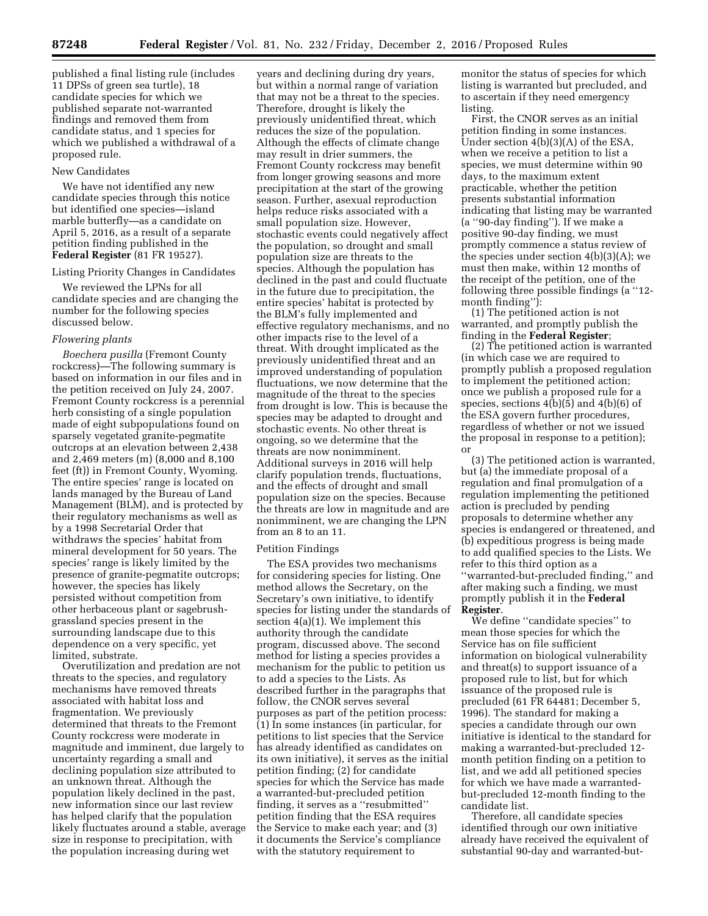published a final listing rule (includes 11 DPSs of green sea turtle), 18 candidate species for which we published separate not-warranted findings and removed them from candidate status, and 1 species for which we published a withdrawal of a proposed rule.

### New Candidates

We have not identified any new candidate species through this notice but identified one species—island marble butterfly—as a candidate on April 5, 2016, as a result of a separate petition finding published in the **Federal Register** (81 FR 19527).

#### Listing Priority Changes in Candidates

We reviewed the LPNs for all candidate species and are changing the number for the following species discussed below.

#### *Flowering plants*

*Boechera pusilla* (Fremont County rockcress)—The following summary is based on information in our files and in the petition received on July 24, 2007. Fremont County rockcress is a perennial herb consisting of a single population made of eight subpopulations found on sparsely vegetated granite-pegmatite outcrops at an elevation between 2,438 and 2,469 meters (m) (8,000 and 8,100 feet (ft)) in Fremont County, Wyoming. The entire species' range is located on lands managed by the Bureau of Land Management (BLM), and is protected by their regulatory mechanisms as well as by a 1998 Secretarial Order that withdraws the species' habitat from mineral development for 50 years. The species' range is likely limited by the presence of granite-pegmatite outcrops; however, the species has likely persisted without competition from other herbaceous plant or sagebrushgrassland species present in the surrounding landscape due to this dependence on a very specific, yet limited, substrate.

Overutilization and predation are not threats to the species, and regulatory mechanisms have removed threats associated with habitat loss and fragmentation. We previously determined that threats to the Fremont County rockcress were moderate in magnitude and imminent, due largely to uncertainty regarding a small and declining population size attributed to an unknown threat. Although the population likely declined in the past, new information since our last review has helped clarify that the population likely fluctuates around a stable, average size in response to precipitation, with the population increasing during wet

years and declining during dry years, but within a normal range of variation that may not be a threat to the species. Therefore, drought is likely the previously unidentified threat, which reduces the size of the population. Although the effects of climate change may result in drier summers, the Fremont County rockcress may benefit from longer growing seasons and more precipitation at the start of the growing season. Further, asexual reproduction helps reduce risks associated with a small population size. However, stochastic events could negatively affect the population, so drought and small population size are threats to the species. Although the population has declined in the past and could fluctuate in the future due to precipitation, the entire species' habitat is protected by the BLM's fully implemented and effective regulatory mechanisms, and no other impacts rise to the level of a threat. With drought implicated as the previously unidentified threat and an improved understanding of population fluctuations, we now determine that the magnitude of the threat to the species from drought is low. This is because the species may be adapted to drought and stochastic events. No other threat is ongoing, so we determine that the threats are now nonimminent. Additional surveys in 2016 will help clarify population trends, fluctuations, and the effects of drought and small population size on the species. Because the threats are low in magnitude and are nonimminent, we are changing the LPN from an 8 to an 11.

#### Petition Findings

The ESA provides two mechanisms for considering species for listing. One method allows the Secretary, on the Secretary's own initiative, to identify species for listing under the standards of section 4(a)(1). We implement this authority through the candidate program, discussed above. The second method for listing a species provides a mechanism for the public to petition us to add a species to the Lists. As described further in the paragraphs that follow, the CNOR serves several purposes as part of the petition process: (1) In some instances (in particular, for petitions to list species that the Service has already identified as candidates on its own initiative), it serves as the initial petition finding; (2) for candidate species for which the Service has made a warranted-but-precluded petition finding, it serves as a ''resubmitted'' petition finding that the ESA requires the Service to make each year; and (3) it documents the Service's compliance with the statutory requirement to

monitor the status of species for which listing is warranted but precluded, and to ascertain if they need emergency listing.

First, the CNOR serves as an initial petition finding in some instances. Under section 4(b)(3)(A) of the ESA, when we receive a petition to list a species, we must determine within 90 days, to the maximum extent practicable, whether the petition presents substantial information indicating that listing may be warranted (a ''90-day finding''). If we make a positive 90-day finding, we must promptly commence a status review of the species under section 4(b)(3)(A); we must then make, within 12 months of the receipt of the petition, one of the following three possible findings (a ''12 month finding''):

(1) The petitioned action is not warranted, and promptly publish the finding in the **Federal Register**;

(2) The petitioned action is warranted (in which case we are required to promptly publish a proposed regulation to implement the petitioned action; once we publish a proposed rule for a species, sections 4(b)(5) and 4(b)(6) of the ESA govern further procedures, regardless of whether or not we issued the proposal in response to a petition); or

(3) The petitioned action is warranted, but (a) the immediate proposal of a regulation and final promulgation of a regulation implementing the petitioned action is precluded by pending proposals to determine whether any species is endangered or threatened, and (b) expeditious progress is being made to add qualified species to the Lists. We refer to this third option as a ''warranted-but-precluded finding,'' and after making such a finding, we must promptly publish it in the **Federal Register**.

We define ''candidate species'' to mean those species for which the Service has on file sufficient information on biological vulnerability and threat(s) to support issuance of a proposed rule to list, but for which issuance of the proposed rule is precluded (61 FR 64481; December 5, 1996). The standard for making a species a candidate through our own initiative is identical to the standard for making a warranted-but-precluded 12 month petition finding on a petition to list, and we add all petitioned species for which we have made a warrantedbut-precluded 12-month finding to the candidate list.

Therefore, all candidate species identified through our own initiative already have received the equivalent of substantial 90-day and warranted-but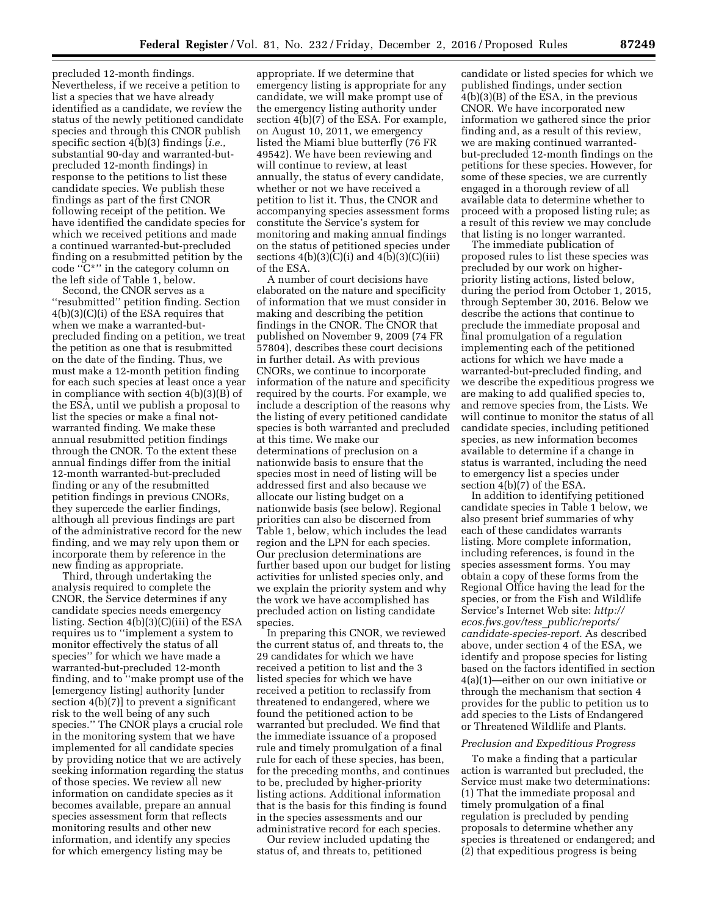precluded 12-month findings. Nevertheless, if we receive a petition to list a species that we have already identified as a candidate, we review the status of the newly petitioned candidate species and through this CNOR publish specific section 4(b)(3) findings (*i.e.,*  substantial 90-day and warranted-butprecluded 12-month findings) in response to the petitions to list these candidate species. We publish these findings as part of the first CNOR following receipt of the petition. We have identified the candidate species for which we received petitions and made a continued warranted-but-precluded finding on a resubmitted petition by the code ''C\*'' in the category column on the left side of Table 1, below.

Second, the CNOR serves as a ''resubmitted'' petition finding. Section 4(b)(3)(C)(i) of the ESA requires that when we make a warranted-butprecluded finding on a petition, we treat the petition as one that is resubmitted on the date of the finding. Thus, we must make a 12-month petition finding for each such species at least once a year in compliance with section 4(b)(3)(B) of the ESA, until we publish a proposal to list the species or make a final notwarranted finding. We make these annual resubmitted petition findings through the CNOR. To the extent these annual findings differ from the initial 12-month warranted-but-precluded finding or any of the resubmitted petition findings in previous CNORs, they supercede the earlier findings, although all previous findings are part of the administrative record for the new finding, and we may rely upon them or incorporate them by reference in the new finding as appropriate.

Third, through undertaking the analysis required to complete the CNOR, the Service determines if any candidate species needs emergency listing. Section 4(b)(3)(C)(iii) of the ESA requires us to ''implement a system to monitor effectively the status of all species'' for which we have made a warranted-but-precluded 12-month finding, and to ''make prompt use of the [emergency listing] authority [under section 4(b)(7)] to prevent a significant risk to the well being of any such species.'' The CNOR plays a crucial role in the monitoring system that we have implemented for all candidate species by providing notice that we are actively seeking information regarding the status of those species. We review all new information on candidate species as it becomes available, prepare an annual species assessment form that reflects monitoring results and other new information, and identify any species for which emergency listing may be

appropriate. If we determine that emergency listing is appropriate for any candidate, we will make prompt use of the emergency listing authority under section 4(b)(7) of the ESA. For example, on August 10, 2011, we emergency listed the Miami blue butterfly (76 FR 49542). We have been reviewing and will continue to review, at least annually, the status of every candidate, whether or not we have received a petition to list it. Thus, the CNOR and accompanying species assessment forms constitute the Service's system for monitoring and making annual findings on the status of petitioned species under sections  $4(b)(3)(C)(i)$  and  $4(b)(3)(C)(iii)$ of the ESA.

A number of court decisions have elaborated on the nature and specificity of information that we must consider in making and describing the petition findings in the CNOR. The CNOR that published on November 9, 2009 (74 FR 57804), describes these court decisions in further detail. As with previous CNORs, we continue to incorporate information of the nature and specificity required by the courts. For example, we include a description of the reasons why the listing of every petitioned candidate species is both warranted and precluded at this time. We make our determinations of preclusion on a nationwide basis to ensure that the species most in need of listing will be addressed first and also because we allocate our listing budget on a nationwide basis (see below). Regional priorities can also be discerned from Table 1, below, which includes the lead region and the LPN for each species. Our preclusion determinations are further based upon our budget for listing activities for unlisted species only, and we explain the priority system and why the work we have accomplished has precluded action on listing candidate species.

In preparing this CNOR, we reviewed the current status of, and threats to, the 29 candidates for which we have received a petition to list and the 3 listed species for which we have received a petition to reclassify from threatened to endangered, where we found the petitioned action to be warranted but precluded. We find that the immediate issuance of a proposed rule and timely promulgation of a final rule for each of these species, has been, for the preceding months, and continues to be, precluded by higher-priority listing actions. Additional information that is the basis for this finding is found in the species assessments and our administrative record for each species.

Our review included updating the status of, and threats to, petitioned

candidate or listed species for which we published findings, under section 4(b)(3)(B) of the ESA, in the previous CNOR. We have incorporated new information we gathered since the prior finding and, as a result of this review, we are making continued warrantedbut-precluded 12-month findings on the petitions for these species. However, for some of these species, we are currently engaged in a thorough review of all available data to determine whether to proceed with a proposed listing rule; as a result of this review we may conclude that listing is no longer warranted.

The immediate publication of proposed rules to list these species was precluded by our work on higherpriority listing actions, listed below, during the period from October 1, 2015, through September 30, 2016. Below we describe the actions that continue to preclude the immediate proposal and final promulgation of a regulation implementing each of the petitioned actions for which we have made a warranted-but-precluded finding, and we describe the expeditious progress we are making to add qualified species to, and remove species from, the Lists. We will continue to monitor the status of all candidate species, including petitioned species, as new information becomes available to determine if a change in status is warranted, including the need to emergency list a species under section 4(b)(7) of the ESA.

In addition to identifying petitioned candidate species in Table 1 below, we also present brief summaries of why each of these candidates warrants listing. More complete information, including references, is found in the species assessment forms. You may obtain a copy of these forms from the Regional Office having the lead for the species, or from the Fish and Wildlife Service's Internet Web site: *http:// ecos.fws.gov/tess*\_*public/reports/ candidate-species-report.* As described above, under section 4 of the ESA, we identify and propose species for listing based on the factors identified in section 4(a)(1)—either on our own initiative or through the mechanism that section 4 provides for the public to petition us to add species to the Lists of Endangered or Threatened Wildlife and Plants.

#### *Preclusion and Expeditious Progress*

To make a finding that a particular action is warranted but precluded, the Service must make two determinations: (1) That the immediate proposal and timely promulgation of a final regulation is precluded by pending proposals to determine whether any species is threatened or endangered; and (2) that expeditious progress is being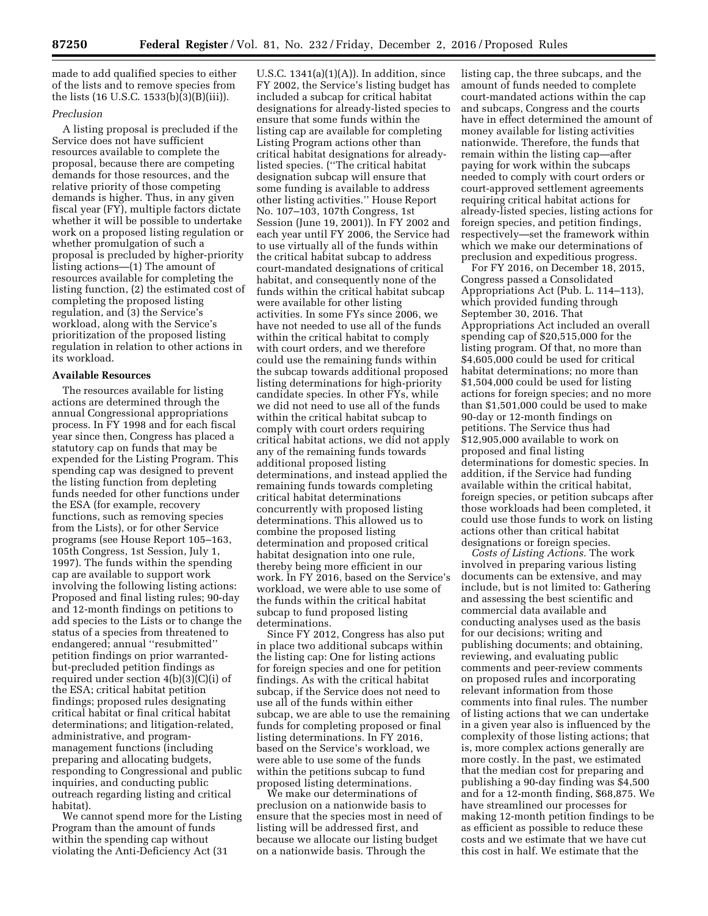made to add qualified species to either of the lists and to remove species from the lists (16 U.S.C. 1533(b)(3)(B)(iii)).

## *Preclusion*

A listing proposal is precluded if the Service does not have sufficient resources available to complete the proposal, because there are competing demands for those resources, and the relative priority of those competing demands is higher. Thus, in any given fiscal year (FY), multiple factors dictate whether it will be possible to undertake work on a proposed listing regulation or whether promulgation of such a proposal is precluded by higher-priority listing actions—(1) The amount of resources available for completing the listing function, (2) the estimated cost of completing the proposed listing regulation, and (3) the Service's workload, along with the Service's prioritization of the proposed listing regulation in relation to other actions in its workload.

## **Available Resources**

The resources available for listing actions are determined through the annual Congressional appropriations process. In FY 1998 and for each fiscal year since then, Congress has placed a statutory cap on funds that may be expended for the Listing Program. This spending cap was designed to prevent the listing function from depleting funds needed for other functions under the ESA (for example, recovery functions, such as removing species from the Lists), or for other Service programs (see House Report 105–163, 105th Congress, 1st Session, July 1, 1997). The funds within the spending cap are available to support work involving the following listing actions: Proposed and final listing rules; 90-day and 12-month findings on petitions to add species to the Lists or to change the status of a species from threatened to endangered; annual ''resubmitted'' petition findings on prior warrantedbut-precluded petition findings as required under section 4(b)(3)(C)(i) of the ESA; critical habitat petition findings; proposed rules designating critical habitat or final critical habitat determinations; and litigation-related, administrative, and programmanagement functions (including preparing and allocating budgets, responding to Congressional and public inquiries, and conducting public outreach regarding listing and critical habitat).

We cannot spend more for the Listing Program than the amount of funds within the spending cap without violating the Anti-Deficiency Act (31

U.S.C.  $1341(a)(1)(A)$ . In addition, since FY 2002, the Service's listing budget has included a subcap for critical habitat designations for already-listed species to ensure that some funds within the listing cap are available for completing Listing Program actions other than critical habitat designations for alreadylisted species. (''The critical habitat designation subcap will ensure that some funding is available to address other listing activities.'' House Report No. 107–103, 107th Congress, 1st Session (June 19, 2001)). In FY 2002 and each year until FY 2006, the Service had to use virtually all of the funds within the critical habitat subcap to address court-mandated designations of critical habitat, and consequently none of the funds within the critical habitat subcap were available for other listing activities. In some FYs since 2006, we have not needed to use all of the funds within the critical habitat to comply with court orders, and we therefore could use the remaining funds within the subcap towards additional proposed listing determinations for high-priority candidate species. In other FYs, while we did not need to use all of the funds within the critical habitat subcap to comply with court orders requiring critical habitat actions, we did not apply any of the remaining funds towards additional proposed listing determinations, and instead applied the remaining funds towards completing critical habitat determinations concurrently with proposed listing determinations. This allowed us to combine the proposed listing determination and proposed critical habitat designation into one rule, thereby being more efficient in our work. In FY 2016, based on the Service's workload, we were able to use some of the funds within the critical habitat subcap to fund proposed listing determinations.

Since FY 2012, Congress has also put in place two additional subcaps within the listing cap: One for listing actions for foreign species and one for petition findings. As with the critical habitat subcap, if the Service does not need to use all of the funds within either subcap, we are able to use the remaining funds for completing proposed or final listing determinations. In FY 2016, based on the Service's workload, we were able to use some of the funds within the petitions subcap to fund proposed listing determinations.

We make our determinations of preclusion on a nationwide basis to ensure that the species most in need of listing will be addressed first, and because we allocate our listing budget on a nationwide basis. Through the

listing cap, the three subcaps, and the amount of funds needed to complete court-mandated actions within the cap and subcaps, Congress and the courts have in effect determined the amount of money available for listing activities nationwide. Therefore, the funds that remain within the listing cap—after paying for work within the subcaps needed to comply with court orders or court-approved settlement agreements requiring critical habitat actions for already-listed species, listing actions for foreign species, and petition findings, respectively—set the framework within which we make our determinations of preclusion and expeditious progress.

For FY 2016, on December 18, 2015, Congress passed a Consolidated Appropriations Act (Pub. L. 114–113), which provided funding through September 30, 2016. That Appropriations Act included an overall spending cap of \$20,515,000 for the listing program. Of that, no more than \$4,605,000 could be used for critical habitat determinations; no more than \$1,504,000 could be used for listing actions for foreign species; and no more than \$1,501,000 could be used to make 90-day or 12-month findings on petitions. The Service thus had \$12,905,000 available to work on proposed and final listing determinations for domestic species. In addition, if the Service had funding available within the critical habitat, foreign species, or petition subcaps after those workloads had been completed, it could use those funds to work on listing actions other than critical habitat designations or foreign species.

*Costs of Listing Actions.* The work involved in preparing various listing documents can be extensive, and may include, but is not limited to: Gathering and assessing the best scientific and commercial data available and conducting analyses used as the basis for our decisions; writing and publishing documents; and obtaining, reviewing, and evaluating public comments and peer-review comments on proposed rules and incorporating relevant information from those comments into final rules. The number of listing actions that we can undertake in a given year also is influenced by the complexity of those listing actions; that is, more complex actions generally are more costly. In the past, we estimated that the median cost for preparing and publishing a 90-day finding was \$4,500 and for a 12-month finding, \$68,875. We have streamlined our processes for making 12-month petition findings to be as efficient as possible to reduce these costs and we estimate that we have cut this cost in half. We estimate that the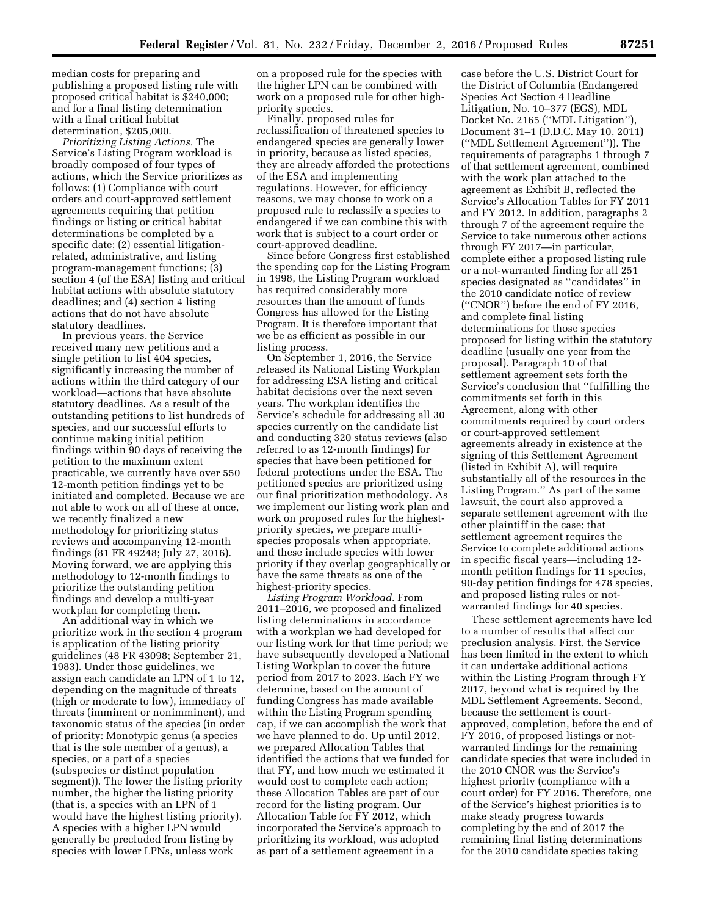median costs for preparing and publishing a proposed listing rule with proposed critical habitat is \$240,000; and for a final listing determination with a final critical habitat determination, \$205,000.

*Prioritizing Listing Actions.* The Service's Listing Program workload is broadly composed of four types of actions, which the Service prioritizes as follows: (1) Compliance with court orders and court-approved settlement agreements requiring that petition findings or listing or critical habitat determinations be completed by a specific date; (2) essential litigationrelated, administrative, and listing program-management functions; (3) section 4 (of the ESA) listing and critical habitat actions with absolute statutory deadlines; and (4) section 4 listing actions that do not have absolute statutory deadlines.

In previous years, the Service received many new petitions and a single petition to list 404 species, significantly increasing the number of actions within the third category of our workload—actions that have absolute statutory deadlines. As a result of the outstanding petitions to list hundreds of species, and our successful efforts to continue making initial petition findings within 90 days of receiving the petition to the maximum extent practicable, we currently have over 550 12-month petition findings yet to be initiated and completed. Because we are not able to work on all of these at once, we recently finalized a new methodology for prioritizing status reviews and accompanying 12-month findings (81 FR 49248; July 27, 2016). Moving forward, we are applying this methodology to 12-month findings to prioritize the outstanding petition findings and develop a multi-year workplan for completing them.

An additional way in which we prioritize work in the section 4 program is application of the listing priority guidelines (48 FR 43098; September 21, 1983). Under those guidelines, we assign each candidate an LPN of 1 to 12, depending on the magnitude of threats (high or moderate to low), immediacy of threats (imminent or nonimminent), and taxonomic status of the species (in order of priority: Monotypic genus (a species that is the sole member of a genus), a species, or a part of a species (subspecies or distinct population segment)). The lower the listing priority number, the higher the listing priority (that is, a species with an LPN of 1 would have the highest listing priority). A species with a higher LPN would generally be precluded from listing by species with lower LPNs, unless work

on a proposed rule for the species with the higher LPN can be combined with work on a proposed rule for other highpriority species.

Finally, proposed rules for reclassification of threatened species to endangered species are generally lower in priority, because as listed species, they are already afforded the protections of the ESA and implementing regulations. However, for efficiency reasons, we may choose to work on a proposed rule to reclassify a species to endangered if we can combine this with work that is subject to a court order or court-approved deadline.

Since before Congress first established the spending cap for the Listing Program in 1998, the Listing Program workload has required considerably more resources than the amount of funds Congress has allowed for the Listing Program. It is therefore important that we be as efficient as possible in our listing process.

On September 1, 2016, the Service released its National Listing Workplan for addressing ESA listing and critical habitat decisions over the next seven years. The workplan identifies the Service's schedule for addressing all 30 species currently on the candidate list and conducting 320 status reviews (also referred to as 12-month findings) for species that have been petitioned for federal protections under the ESA. The petitioned species are prioritized using our final prioritization methodology. As we implement our listing work plan and work on proposed rules for the highestpriority species, we prepare multispecies proposals when appropriate, and these include species with lower priority if they overlap geographically or have the same threats as one of the highest-priority species.

*Listing Program Workload.* From 2011–2016, we proposed and finalized listing determinations in accordance with a workplan we had developed for our listing work for that time period; we have subsequently developed a National Listing Workplan to cover the future period from 2017 to 2023. Each FY we determine, based on the amount of funding Congress has made available within the Listing Program spending cap, if we can accomplish the work that we have planned to do. Up until 2012, we prepared Allocation Tables that identified the actions that we funded for that FY, and how much we estimated it would cost to complete each action; these Allocation Tables are part of our record for the listing program. Our Allocation Table for FY 2012, which incorporated the Service's approach to prioritizing its workload, was adopted as part of a settlement agreement in a

case before the U.S. District Court for the District of Columbia (Endangered Species Act Section 4 Deadline Litigation, No. 10–377 (EGS), MDL Docket No. 2165 (''MDL Litigation''), Document 31–1 (D.D.C. May 10, 2011) (''MDL Settlement Agreement'')). The requirements of paragraphs 1 through 7 of that settlement agreement, combined with the work plan attached to the agreement as Exhibit B, reflected the Service's Allocation Tables for FY 2011 and FY 2012. In addition, paragraphs 2 through 7 of the agreement require the Service to take numerous other actions through FY 2017—in particular, complete either a proposed listing rule or a not-warranted finding for all 251 species designated as ''candidates'' in the 2010 candidate notice of review (''CNOR'') before the end of FY 2016, and complete final listing determinations for those species proposed for listing within the statutory deadline (usually one year from the proposal). Paragraph 10 of that settlement agreement sets forth the Service's conclusion that ''fulfilling the commitments set forth in this Agreement, along with other commitments required by court orders or court-approved settlement agreements already in existence at the signing of this Settlement Agreement (listed in Exhibit A), will require substantially all of the resources in the Listing Program.'' As part of the same lawsuit, the court also approved a separate settlement agreement with the other plaintiff in the case; that settlement agreement requires the Service to complete additional actions in specific fiscal years—including 12 month petition findings for 11 species, 90-day petition findings for 478 species, and proposed listing rules or notwarranted findings for 40 species.

These settlement agreements have led to a number of results that affect our preclusion analysis. First, the Service has been limited in the extent to which it can undertake additional actions within the Listing Program through FY 2017, beyond what is required by the MDL Settlement Agreements. Second, because the settlement is courtapproved, completion, before the end of FY 2016, of proposed listings or notwarranted findings for the remaining candidate species that were included in the 2010 CNOR was the Service's highest priority (compliance with a court order) for FY 2016. Therefore, one of the Service's highest priorities is to make steady progress towards completing by the end of 2017 the remaining final listing determinations for the 2010 candidate species taking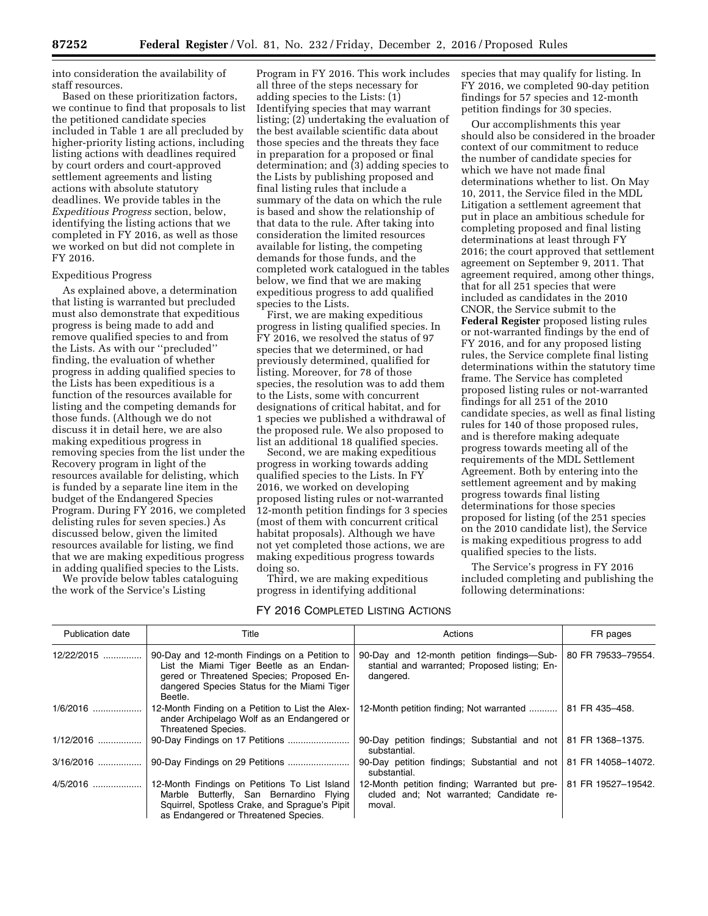into consideration the availability of staff resources.

Based on these prioritization factors, we continue to find that proposals to list the petitioned candidate species included in Table 1 are all precluded by higher-priority listing actions, including listing actions with deadlines required by court orders and court-approved settlement agreements and listing actions with absolute statutory deadlines. We provide tables in the *Expeditious Progress* section, below, identifying the listing actions that we completed in FY 2016, as well as those we worked on but did not complete in FY 2016.

#### Expeditious Progress

As explained above, a determination that listing is warranted but precluded must also demonstrate that expeditious progress is being made to add and remove qualified species to and from the Lists. As with our ''precluded'' finding, the evaluation of whether progress in adding qualified species to the Lists has been expeditious is a function of the resources available for listing and the competing demands for those funds. (Although we do not discuss it in detail here, we are also making expeditious progress in removing species from the list under the Recovery program in light of the resources available for delisting, which is funded by a separate line item in the budget of the Endangered Species Program. During FY 2016, we completed delisting rules for seven species.) As discussed below, given the limited resources available for listing, we find that we are making expeditious progress in adding qualified species to the Lists.

We provide below tables cataloguing the work of the Service's Listing

Program in FY 2016. This work includes all three of the steps necessary for adding species to the Lists: (1) Identifying species that may warrant listing; (2) undertaking the evaluation of the best available scientific data about those species and the threats they face in preparation for a proposed or final determination; and (3) adding species to the Lists by publishing proposed and final listing rules that include a summary of the data on which the rule is based and show the relationship of that data to the rule. After taking into consideration the limited resources available for listing, the competing demands for those funds, and the completed work catalogued in the tables below, we find that we are making expeditious progress to add qualified species to the Lists.

First, we are making expeditious progress in listing qualified species. In FY 2016, we resolved the status of 97 species that we determined, or had previously determined, qualified for listing. Moreover, for 78 of those species, the resolution was to add them to the Lists, some with concurrent designations of critical habitat, and for 1 species we published a withdrawal of the proposed rule. We also proposed to list an additional 18 qualified species.

Second, we are making expeditious progress in working towards adding qualified species to the Lists. In FY 2016, we worked on developing proposed listing rules or not-warranted 12-month petition findings for 3 species (most of them with concurrent critical habitat proposals). Although we have not yet completed those actions, we are making expeditious progress towards doing so.

Third, we are making expeditious progress in identifying additional

species that may qualify for listing. In FY 2016, we completed 90-day petition findings for 57 species and 12-month petition findings for 30 species.

Our accomplishments this year should also be considered in the broader context of our commitment to reduce the number of candidate species for which we have not made final determinations whether to list. On May 10, 2011, the Service filed in the MDL Litigation a settlement agreement that put in place an ambitious schedule for completing proposed and final listing determinations at least through FY 2016; the court approved that settlement agreement on September 9, 2011. That agreement required, among other things, that for all 251 species that were included as candidates in the 2010 CNOR, the Service submit to the **Federal Register** proposed listing rules or not-warranted findings by the end of FY 2016, and for any proposed listing rules, the Service complete final listing determinations within the statutory time frame. The Service has completed proposed listing rules or not-warranted findings for all 251 of the 2010 candidate species, as well as final listing rules for 140 of those proposed rules, and is therefore making adequate progress towards meeting all of the requirements of the MDL Settlement Agreement. Both by entering into the settlement agreement and by making progress towards final listing determinations for those species proposed for listing (of the 251 species on the 2010 candidate list), the Service is making expeditious progress to add qualified species to the lists.

The Service's progress in FY 2016 included completing and publishing the following determinations:

## FY 2016 COMPLETED LISTING ACTIONS

| Publication date | Title                                                                                                                                                                                            | Actions                                                                                                  | FR pages           |
|------------------|--------------------------------------------------------------------------------------------------------------------------------------------------------------------------------------------------|----------------------------------------------------------------------------------------------------------|--------------------|
| 12/22/2015       | 90-Day and 12-month Findings on a Petition to<br>List the Miami Tiger Beetle as an Endan-<br>gered or Threatened Species; Proposed En-<br>dangered Species Status for the Miami Tiger<br>Beetle. | 90-Day and 12-month petition findings—Sub-<br>stantial and warranted; Proposed listing; En-<br>dangered. | 80 FR 79533-79554. |
| 1/6/2016         | 12-Month Finding on a Petition to List the Alex-<br>ander Archipelago Wolf as an Endangered or<br>Threatened Species.                                                                            | 12-Month petition finding: Not warranted                                                                 | 81 FR 435-458.     |
| $1/12/2016$      |                                                                                                                                                                                                  | 90-Day petition findings; Substantial and not   81 FR 1368-1375.<br>substantial.                         |                    |
| $3/16/2016$      |                                                                                                                                                                                                  | 90-Day petition findings; Substantial and not<br>substantial.                                            | 81 FR 14058-14072. |
| $4/5/2016$       | 12-Month Findings on Petitions To List Island<br>Marble Butterfly, San Bernardino Flying<br>Squirrel, Spotless Crake, and Sprague's Pipit<br>as Endangered or Threatened Species.                | 12-Month petition finding; Warranted but pre-<br>cluded and; Not warranted; Candidate re-<br>moval.      | 81 FR 19527-19542. |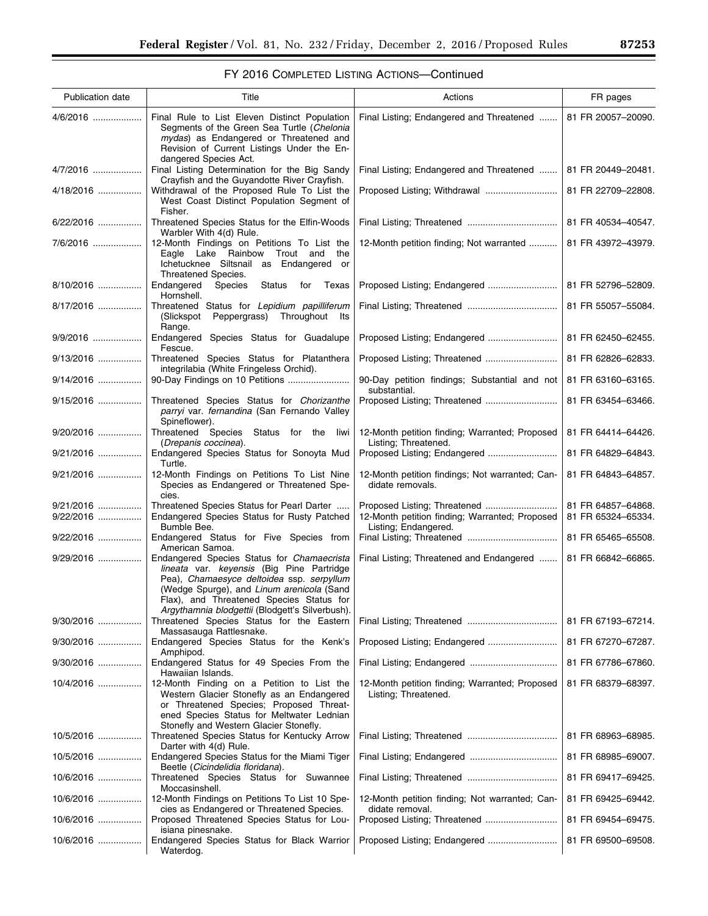# FY 2016 COMPLETED LISTING ACTIONS—Continued

| Publication date       | Title                                                                                                                                                                                                                                                                            | Actions                                                                | FR pages                                 |
|------------------------|----------------------------------------------------------------------------------------------------------------------------------------------------------------------------------------------------------------------------------------------------------------------------------|------------------------------------------------------------------------|------------------------------------------|
| 4/6/2016               | Final Rule to List Eleven Distinct Population<br>Segments of the Green Sea Turtle (Chelonia<br>mydas) as Endangered or Threatened and<br>Revision of Current Listings Under the En-<br>dangered Species Act.                                                                     | Final Listing; Endangered and Threatened                               | 81 FR 20057-20090.                       |
| 4/7/2016               | Final Listing Determination for the Big Sandy<br>Crayfish and the Guyandotte River Crayfish.                                                                                                                                                                                     | Final Listing; Endangered and Threatened                               | 81 FR 20449-20481.                       |
| 4/18/2016              | Withdrawal of the Proposed Rule To List the<br>West Coast Distinct Population Segment of<br>Fisher.                                                                                                                                                                              |                                                                        | 81 FR 22709-22808.                       |
| 6/22/2016              | Threatened Species Status for the Elfin-Woods<br>Warbler With 4(d) Rule.                                                                                                                                                                                                         |                                                                        | 81 FR 40534-40547.                       |
| 7/6/2016               | 12-Month Findings on Petitions To List the<br>Eagle Lake Rainbow<br>Trout and<br>the<br>Ichetucknee Siltsnail as Endangered or<br>Threatened Species.                                                                                                                            | 12-Month petition finding; Not warranted                               | 81 FR 43972-43979.                       |
| 8/10/2016              | Endangered<br>Species<br>Status<br>for<br>Texas<br>Hornshell.                                                                                                                                                                                                                    |                                                                        | 81 FR 52796-52809.                       |
| 8/17/2016              | Threatened Status for Lepidium papilliferum<br>(Slickspot Peppergrass) Throughout Its<br>Range.                                                                                                                                                                                  |                                                                        | 81 FR 55057-55084.                       |
| 9/9/2016               | Endangered Species Status for Guadalupe<br>Fescue.                                                                                                                                                                                                                               |                                                                        | 81 FR 62450-62455.                       |
| 9/13/2016              | Threatened Species Status for Platanthera<br>integrilabia (White Fringeless Orchid).                                                                                                                                                                                             |                                                                        | 81 FR 62826-62833.                       |
| 9/14/2016              |                                                                                                                                                                                                                                                                                  | 90-Day petition findings; Substantial and not<br>substantial.          | 81 FR 63160-63165.                       |
| 9/15/2016              | Threatened Species Status for Chorizanthe<br>parryi var. fernandina (San Fernando Valley<br>Spineflower).                                                                                                                                                                        | Proposed Listing; Threatened                                           | 81 FR 63454-63466.                       |
| 9/20/2016              | Threatened Species Status for the liwi<br>(Drepanis coccinea).                                                                                                                                                                                                                   | 12-Month petition finding; Warranted; Proposed<br>Listing; Threatened. | 81 FR 64414-64426.                       |
| 9/21/2016              | Endangered Species Status for Sonoyta Mud<br>Turtle.                                                                                                                                                                                                                             | Proposed Listing; Endangered                                           | 81 FR 64829-64843.                       |
| 9/21/2016              | 12-Month Findings on Petitions To List Nine<br>Species as Endangered or Threatened Spe-<br>cies.                                                                                                                                                                                 | 12-Month petition findings; Not warranted; Can-<br>didate removals.    | 81 FR 64843-64857.                       |
| 9/21/2016<br>9/22/2016 | Threatened Species Status for Pearl Darter<br>Endangered Species Status for Rusty Patched<br>Bumble Bee.                                                                                                                                                                         | 12-Month petition finding; Warranted; Proposed<br>Listing; Endangered. | 81 FR 64857-64868.<br>81 FR 65324-65334. |
| 9/22/2016              | Endangered Status for Five Species from<br>American Samoa.                                                                                                                                                                                                                       |                                                                        | 81 FR 65465-65508.                       |
| 9/29/2016              | Endangered Species Status for Chamaecrista<br>lineata var. keyensis (Big Pine Partridge<br>Pea), Chamaesyce deltoidea ssp. serpyllum<br>(Wedge Spurge), and Linum arenicola (Sand<br>Flax), and Threatened Species Status for<br>Argythamnia blodgettii (Blodgett's Silverbush). | Final Listing: Threatened and Endangered                               | 81 FR 66842-66865.                       |
| 9/30/2016              | Threatened Species Status for the Eastern<br>Massasauga Rattlesnake.                                                                                                                                                                                                             |                                                                        | 81 FR 67193-67214.                       |
| 9/30/2016              | Endangered Species Status for the Kenk's<br>Amphipod.                                                                                                                                                                                                                            |                                                                        | 81 FR 67270-67287.                       |
| 9/30/2016              | Endangered Status for 49 Species From the<br>Hawaiian Islands.                                                                                                                                                                                                                   |                                                                        | 81 FR 67786-67860.                       |
| 10/4/2016              | 12-Month Finding on a Petition to List the<br>Western Glacier Stonefly as an Endangered<br>or Threatened Species; Proposed Threat-<br>ened Species Status for Meltwater Lednian<br>Stonefly and Western Glacier Stonefly.                                                        | 12-Month petition finding; Warranted; Proposed<br>Listing; Threatened. | 81 FR 68379-68397.                       |
| 10/5/2016              | Threatened Species Status for Kentucky Arrow<br>Darter with 4(d) Rule.                                                                                                                                                                                                           |                                                                        | 81 FR 68963-68985.                       |
| 10/5/2016              | Endangered Species Status for the Miami Tiger                                                                                                                                                                                                                                    |                                                                        | 81 FR 68985-69007.                       |
| 10/6/2016              | Beetle (Cicindelidia floridana).<br>Threatened Species Status for Suwannee                                                                                                                                                                                                       |                                                                        | 81 FR 69417-69425.                       |
| 10/6/2016              | Moccasinshell.<br>12-Month Findings on Petitions To List 10 Spe-                                                                                                                                                                                                                 | 12-Month petition finding; Not warranted; Can-                         | 81 FR 69425-69442.                       |
| 10/6/2016              | cies as Endangered or Threatened Species.<br>Proposed Threatened Species Status for Lou-                                                                                                                                                                                         | didate removal.<br>Proposed Listing; Threatened                        | 81 FR 69454-69475.                       |
| 10/6/2016              | isiana pinesnake.<br>Endangered Species Status for Black Warrior<br>Waterdog.                                                                                                                                                                                                    | Proposed Listing; Endangered                                           | 81 FR 69500-69508.                       |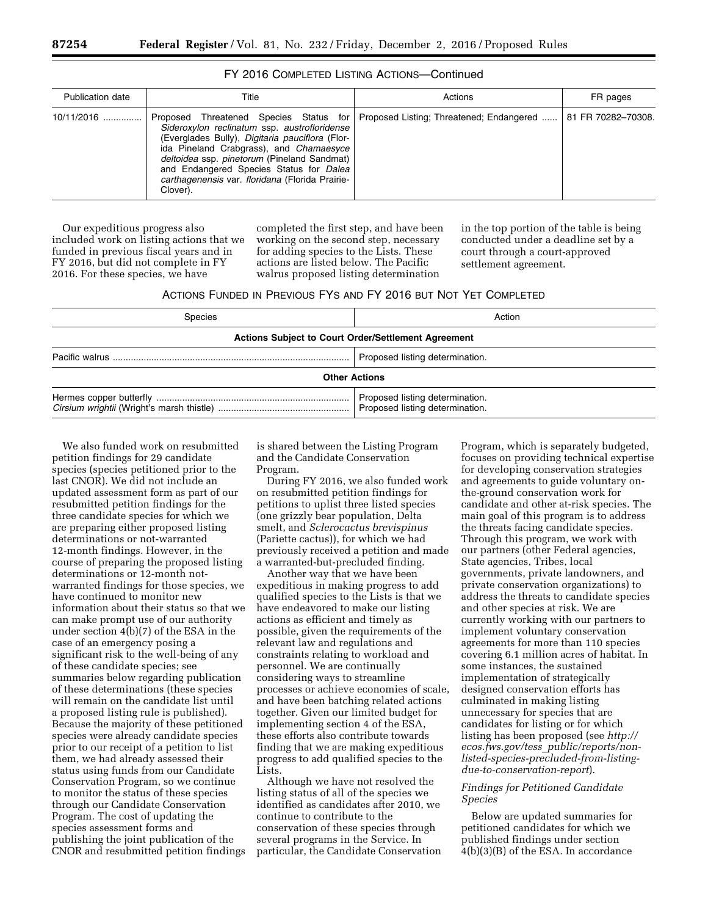| <b>Publication date</b> | Title                                                                                                                                                                                                                                                                                               | Actions                                                                         | FR pages           |
|-------------------------|-----------------------------------------------------------------------------------------------------------------------------------------------------------------------------------------------------------------------------------------------------------------------------------------------------|---------------------------------------------------------------------------------|--------------------|
| $10/11/2016$            | Sideroxylon reclinatum ssp. austrofloridense<br>(Everglades Bully), Digitaria pauciflora (Flor-<br>ida Pineland Crabgrass), and Chamaesyce<br>deltoidea ssp. pinetorum (Pineland Sandmat)<br>and Endangered Species Status for Dalea<br>carthagenensis var. floridana (Florida Prairie-<br>Clover). | Proposed Threatened Species Status for Proposed Listing; Threatened; Endangered | 81 FR 70282-70308. |

## FY 2016 COMPLETED LISTING ACTIONS—Continued

Our expeditious progress also included work on listing actions that we funded in previous fiscal years and in FY 2016, but did not complete in FY 2016. For these species, we have

completed the first step, and have been working on the second step, necessary for adding species to the Lists. These actions are listed below. The Pacific walrus proposed listing determination

in the top portion of the table is being conducted under a deadline set by a court through a court-approved settlement agreement.

| ACTIONS FUNDED IN PREVIOUS FYS AND FY 2016 BUT NOT YET COMPLETED |  |  |  |
|------------------------------------------------------------------|--|--|--|
|------------------------------------------------------------------|--|--|--|

| Species                                                    | Action                                                             |  |  |  |  |  |  |
|------------------------------------------------------------|--------------------------------------------------------------------|--|--|--|--|--|--|
| <b>Actions Subject to Court Order/Settlement Agreement</b> |                                                                    |  |  |  |  |  |  |
|                                                            | Proposed listing determination.                                    |  |  |  |  |  |  |
|                                                            | <b>Other Actions</b>                                               |  |  |  |  |  |  |
|                                                            | Proposed listing determination.<br>Proposed listing determination. |  |  |  |  |  |  |

We also funded work on resubmitted petition findings for 29 candidate species (species petitioned prior to the last CNOR). We did not include an updated assessment form as part of our resubmitted petition findings for the three candidate species for which we are preparing either proposed listing determinations or not-warranted 12-month findings. However, in the course of preparing the proposed listing determinations or 12-month notwarranted findings for those species, we have continued to monitor new information about their status so that we can make prompt use of our authority under section 4(b)(7) of the ESA in the case of an emergency posing a significant risk to the well-being of any of these candidate species; see summaries below regarding publication of these determinations (these species will remain on the candidate list until a proposed listing rule is published). Because the majority of these petitioned species were already candidate species prior to our receipt of a petition to list them, we had already assessed their status using funds from our Candidate Conservation Program, so we continue to monitor the status of these species through our Candidate Conservation Program. The cost of updating the species assessment forms and publishing the joint publication of the CNOR and resubmitted petition findings is shared between the Listing Program and the Candidate Conservation Program.

During FY 2016, we also funded work on resubmitted petition findings for petitions to uplist three listed species (one grizzly bear population, Delta smelt, and *Sclerocactus brevispinus*  (Pariette cactus)), for which we had previously received a petition and made a warranted-but-precluded finding.

Another way that we have been expeditious in making progress to add qualified species to the Lists is that we have endeavored to make our listing actions as efficient and timely as possible, given the requirements of the relevant law and regulations and constraints relating to workload and personnel. We are continually considering ways to streamline processes or achieve economies of scale, and have been batching related actions together. Given our limited budget for implementing section 4 of the ESA, these efforts also contribute towards finding that we are making expeditious progress to add qualified species to the Lists.

Although we have not resolved the listing status of all of the species we identified as candidates after 2010, we continue to contribute to the conservation of these species through several programs in the Service. In particular, the Candidate Conservation Program, which is separately budgeted, focuses on providing technical expertise for developing conservation strategies and agreements to guide voluntary onthe-ground conservation work for candidate and other at-risk species. The main goal of this program is to address the threats facing candidate species. Through this program, we work with our partners (other Federal agencies, State agencies, Tribes, local governments, private landowners, and private conservation organizations) to address the threats to candidate species and other species at risk. We are currently working with our partners to implement voluntary conservation agreements for more than 110 species covering 6.1 million acres of habitat. In some instances, the sustained implementation of strategically designed conservation efforts has culminated in making listing unnecessary for species that are candidates for listing or for which listing has been proposed (see *http:// ecos.fws.gov/tess*\_*public/reports/nonlisted-species-precluded-from-listingdue-to-conservation-report*).

## *Findings for Petitioned Candidate Species*

Below are updated summaries for petitioned candidates for which we published findings under section 4(b)(3)(B) of the ESA. In accordance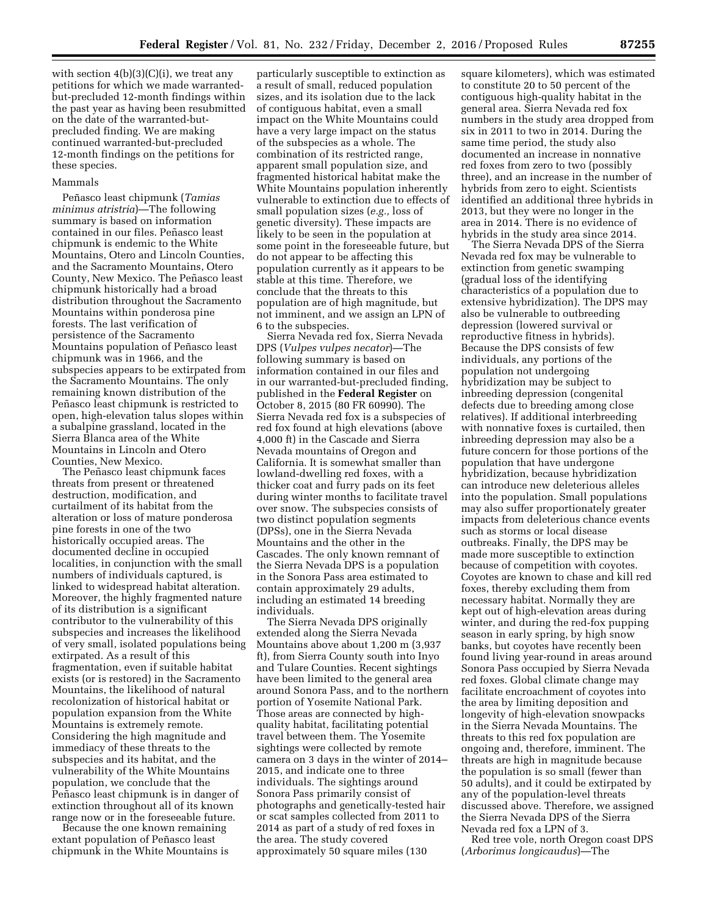with section  $4(b)(3)(C)(i)$ , we treat any petitions for which we made warrantedbut-precluded 12-month findings within the past year as having been resubmitted on the date of the warranted-butprecluded finding. We are making continued warranted-but-precluded 12-month findings on the petitions for these species.

### Mammals

Peñasco least chipmunk (*Tamias minimus atristria*)—The following summary is based on information contained in our files. Peñasco least chipmunk is endemic to the White Mountains, Otero and Lincoln Counties, and the Sacramento Mountains, Otero County, New Mexico. The Peñasco least chipmunk historically had a broad distribution throughout the Sacramento Mountains within ponderosa pine forests. The last verification of persistence of the Sacramento Mountains population of Peñasco least chipmunk was in 1966, and the subspecies appears to be extirpated from the Sacramento Mountains. The only remaining known distribution of the Peñasco least chipmunk is restricted to open, high-elevation talus slopes within a subalpine grassland, located in the Sierra Blanca area of the White Mountains in Lincoln and Otero Counties, New Mexico.

The Peñasco least chipmunk faces threats from present or threatened destruction, modification, and curtailment of its habitat from the alteration or loss of mature ponderosa pine forests in one of the two historically occupied areas. The documented decline in occupied localities, in conjunction with the small numbers of individuals captured, is linked to widespread habitat alteration. Moreover, the highly fragmented nature of its distribution is a significant contributor to the vulnerability of this subspecies and increases the likelihood of very small, isolated populations being extirpated. As a result of this fragmentation, even if suitable habitat exists (or is restored) in the Sacramento Mountains, the likelihood of natural recolonization of historical habitat or population expansion from the White Mountains is extremely remote. Considering the high magnitude and immediacy of these threats to the subspecies and its habitat, and the vulnerability of the White Mountains population, we conclude that the Peñasco least chipmunk is in danger of extinction throughout all of its known range now or in the foreseeable future.

Because the one known remaining extant population of Peñasco least chipmunk in the White Mountains is

particularly susceptible to extinction as a result of small, reduced population sizes, and its isolation due to the lack of contiguous habitat, even a small impact on the White Mountains could have a very large impact on the status of the subspecies as a whole. The combination of its restricted range, apparent small population size, and fragmented historical habitat make the White Mountains population inherently vulnerable to extinction due to effects of small population sizes (*e.g.,* loss of genetic diversity). These impacts are likely to be seen in the population at some point in the foreseeable future, but do not appear to be affecting this population currently as it appears to be stable at this time. Therefore, we conclude that the threats to this population are of high magnitude, but not imminent, and we assign an LPN of 6 to the subspecies.

Sierra Nevada red fox, Sierra Nevada DPS (*Vulpes vulpes necator*)—The following summary is based on information contained in our files and in our warranted-but-precluded finding, published in the **Federal Register** on October 8, 2015 (80 FR 60990). The Sierra Nevada red fox is a subspecies of red fox found at high elevations (above 4,000 ft) in the Cascade and Sierra Nevada mountains of Oregon and California. It is somewhat smaller than lowland-dwelling red foxes, with a thicker coat and furry pads on its feet during winter months to facilitate travel over snow. The subspecies consists of two distinct population segments (DPSs), one in the Sierra Nevada Mountains and the other in the Cascades. The only known remnant of the Sierra Nevada DPS is a population in the Sonora Pass area estimated to contain approximately 29 adults, including an estimated 14 breeding individuals.

The Sierra Nevada DPS originally extended along the Sierra Nevada Mountains above about 1,200 m (3,937 ft), from Sierra County south into Inyo and Tulare Counties. Recent sightings have been limited to the general area around Sonora Pass, and to the northern portion of Yosemite National Park. Those areas are connected by highquality habitat, facilitating potential travel between them. The Yosemite sightings were collected by remote camera on 3 days in the winter of 2014– 2015, and indicate one to three individuals. The sightings around Sonora Pass primarily consist of photographs and genetically-tested hair or scat samples collected from 2011 to 2014 as part of a study of red foxes in the area. The study covered approximately 50 square miles (130

square kilometers), which was estimated to constitute 20 to 50 percent of the contiguous high-quality habitat in the general area. Sierra Nevada red fox numbers in the study area dropped from six in 2011 to two in 2014. During the same time period, the study also documented an increase in nonnative red foxes from zero to two (possibly three), and an increase in the number of hybrids from zero to eight. Scientists identified an additional three hybrids in 2013, but they were no longer in the area in 2014. There is no evidence of hybrids in the study area since 2014.

The Sierra Nevada DPS of the Sierra Nevada red fox may be vulnerable to extinction from genetic swamping (gradual loss of the identifying characteristics of a population due to extensive hybridization). The DPS may also be vulnerable to outbreeding depression (lowered survival or reproductive fitness in hybrids). Because the DPS consists of few individuals, any portions of the population not undergoing hybridization may be subject to inbreeding depression (congenital defects due to breeding among close relatives). If additional interbreeding with nonnative foxes is curtailed, then inbreeding depression may also be a future concern for those portions of the population that have undergone hybridization, because hybridization can introduce new deleterious alleles into the population. Small populations may also suffer proportionately greater impacts from deleterious chance events such as storms or local disease outbreaks. Finally, the DPS may be made more susceptible to extinction because of competition with coyotes. Coyotes are known to chase and kill red foxes, thereby excluding them from necessary habitat. Normally they are kept out of high-elevation areas during winter, and during the red-fox pupping season in early spring, by high snow banks, but coyotes have recently been found living year-round in areas around Sonora Pass occupied by Sierra Nevada red foxes. Global climate change may facilitate encroachment of coyotes into the area by limiting deposition and longevity of high-elevation snowpacks in the Sierra Nevada Mountains. The threats to this red fox population are ongoing and, therefore, imminent. The threats are high in magnitude because the population is so small (fewer than 50 adults), and it could be extirpated by any of the population-level threats discussed above. Therefore, we assigned the Sierra Nevada DPS of the Sierra Nevada red fox a LPN of 3.

Red tree vole, north Oregon coast DPS (*Arborimus longicaudus*)—The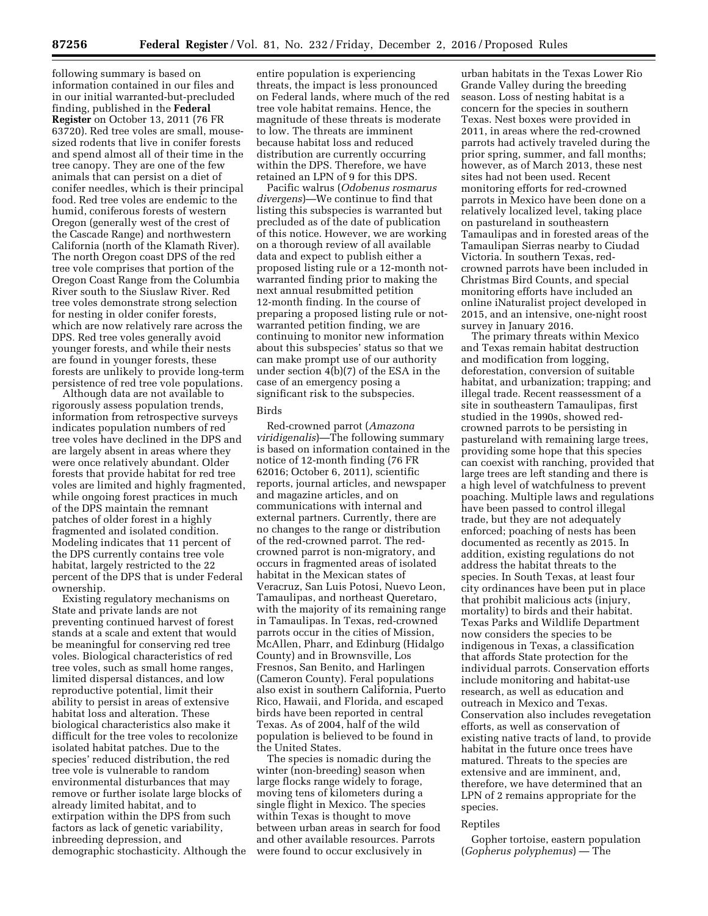following summary is based on information contained in our files and in our initial warranted-but-precluded finding, published in the **Federal Register** on October 13, 2011 (76 FR 63720). Red tree voles are small, mousesized rodents that live in conifer forests and spend almost all of their time in the tree canopy. They are one of the few animals that can persist on a diet of conifer needles, which is their principal food. Red tree voles are endemic to the humid, coniferous forests of western Oregon (generally west of the crest of the Cascade Range) and northwestern California (north of the Klamath River). The north Oregon coast DPS of the red tree vole comprises that portion of the Oregon Coast Range from the Columbia River south to the Siuslaw River. Red tree voles demonstrate strong selection for nesting in older conifer forests, which are now relatively rare across the DPS. Red tree voles generally avoid younger forests, and while their nests are found in younger forests, these forests are unlikely to provide long-term persistence of red tree vole populations.

Although data are not available to rigorously assess population trends, information from retrospective surveys indicates population numbers of red tree voles have declined in the DPS and are largely absent in areas where they were once relatively abundant. Older forests that provide habitat for red tree voles are limited and highly fragmented, while ongoing forest practices in much of the DPS maintain the remnant patches of older forest in a highly fragmented and isolated condition. Modeling indicates that 11 percent of the DPS currently contains tree vole habitat, largely restricted to the 22 percent of the DPS that is under Federal ownership.

Existing regulatory mechanisms on State and private lands are not preventing continued harvest of forest stands at a scale and extent that would be meaningful for conserving red tree voles. Biological characteristics of red tree voles, such as small home ranges, limited dispersal distances, and low reproductive potential, limit their ability to persist in areas of extensive habitat loss and alteration. These biological characteristics also make it difficult for the tree voles to recolonize isolated habitat patches. Due to the species' reduced distribution, the red tree vole is vulnerable to random environmental disturbances that may remove or further isolate large blocks of already limited habitat, and to extirpation within the DPS from such factors as lack of genetic variability, inbreeding depression, and demographic stochasticity. Although the

entire population is experiencing threats, the impact is less pronounced on Federal lands, where much of the red tree vole habitat remains. Hence, the magnitude of these threats is moderate to low. The threats are imminent because habitat loss and reduced distribution are currently occurring within the DPS. Therefore, we have retained an LPN of 9 for this DPS.

Pacific walrus (*Odobenus rosmarus divergens*)—We continue to find that listing this subspecies is warranted but precluded as of the date of publication of this notice. However, we are working on a thorough review of all available data and expect to publish either a proposed listing rule or a 12-month notwarranted finding prior to making the next annual resubmitted petition 12-month finding. In the course of preparing a proposed listing rule or notwarranted petition finding, we are continuing to monitor new information about this subspecies' status so that we can make prompt use of our authority under section 4(b)(7) of the ESA in the case of an emergency posing a significant risk to the subspecies.

## Birds

Red-crowned parrot (*Amazona viridigenalis*)—The following summary is based on information contained in the notice of 12-month finding (76 FR 62016; October 6, 2011), scientific reports, journal articles, and newspaper and magazine articles, and on communications with internal and external partners. Currently, there are no changes to the range or distribution of the red-crowned parrot. The redcrowned parrot is non-migratory, and occurs in fragmented areas of isolated habitat in the Mexican states of Veracruz, San Luis Potosi, Nuevo Leon, Tamaulipas, and northeast Queretaro, with the majority of its remaining range in Tamaulipas. In Texas, red-crowned parrots occur in the cities of Mission, McAllen, Pharr, and Edinburg (Hidalgo County) and in Brownsville, Los Fresnos, San Benito, and Harlingen (Cameron County). Feral populations also exist in southern California, Puerto Rico, Hawaii, and Florida, and escaped birds have been reported in central Texas. As of 2004, half of the wild population is believed to be found in the United States.

The species is nomadic during the winter (non-breeding) season when large flocks range widely to forage, moving tens of kilometers during a single flight in Mexico. The species within Texas is thought to move between urban areas in search for food and other available resources. Parrots were found to occur exclusively in

urban habitats in the Texas Lower Rio Grande Valley during the breeding season. Loss of nesting habitat is a concern for the species in southern Texas. Nest boxes were provided in 2011, in areas where the red-crowned parrots had actively traveled during the prior spring, summer, and fall months; however, as of March 2013, these nest sites had not been used. Recent monitoring efforts for red-crowned parrots in Mexico have been done on a relatively localized level, taking place on pastureland in southeastern Tamaulipas and in forested areas of the Tamaulipan Sierras nearby to Ciudad Victoria. In southern Texas, redcrowned parrots have been included in Christmas Bird Counts, and special monitoring efforts have included an online iNaturalist project developed in 2015, and an intensive, one-night roost survey in January 2016.

The primary threats within Mexico and Texas remain habitat destruction and modification from logging, deforestation, conversion of suitable habitat, and urbanization; trapping; and illegal trade. Recent reassessment of a site in southeastern Tamaulipas, first studied in the 1990s, showed redcrowned parrots to be persisting in pastureland with remaining large trees, providing some hope that this species can coexist with ranching, provided that large trees are left standing and there is a high level of watchfulness to prevent poaching. Multiple laws and regulations have been passed to control illegal trade, but they are not adequately enforced; poaching of nests has been documented as recently as 2015. In addition, existing regulations do not address the habitat threats to the species. In South Texas, at least four city ordinances have been put in place that prohibit malicious acts (injury, mortality) to birds and their habitat. Texas Parks and Wildlife Department now considers the species to be indigenous in Texas, a classification that affords State protection for the individual parrots. Conservation efforts include monitoring and habitat-use research, as well as education and outreach in Mexico and Texas. Conservation also includes revegetation efforts, as well as conservation of existing native tracts of land, to provide habitat in the future once trees have matured. Threats to the species are extensive and are imminent, and, therefore, we have determined that an LPN of 2 remains appropriate for the species.

#### Reptiles

Gopher tortoise, eastern population (*Gopherus polyphemus*) — The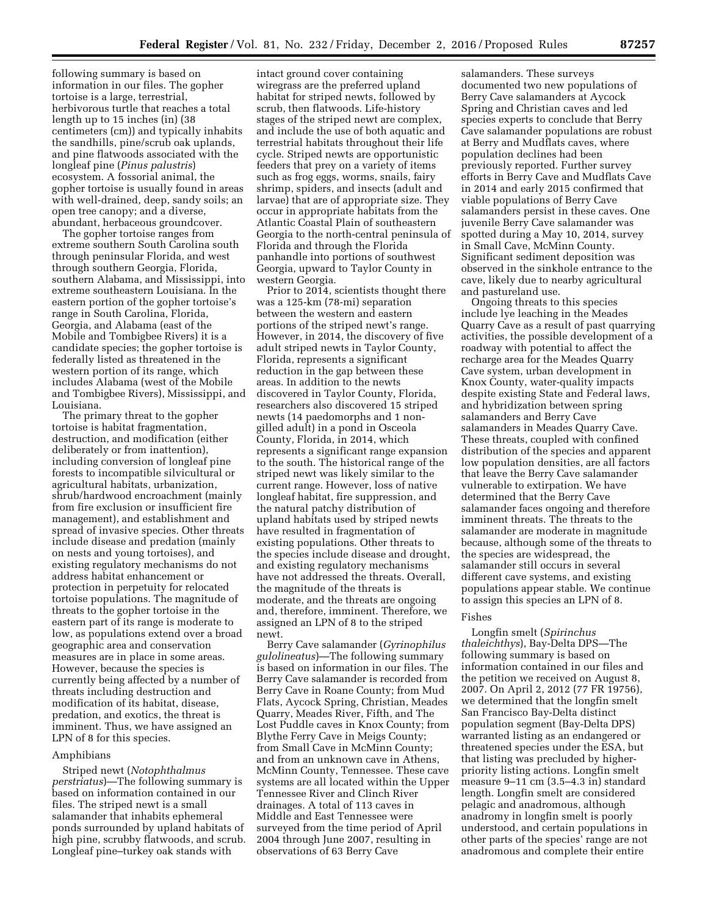following summary is based on information in our files. The gopher tortoise is a large, terrestrial, herbivorous turtle that reaches a total length up to 15 inches (in) (38 centimeters (cm)) and typically inhabits the sandhills, pine/scrub oak uplands, and pine flatwoods associated with the longleaf pine (*Pinus palustris*) ecosystem. A fossorial animal, the gopher tortoise is usually found in areas with well-drained, deep, sandy soils; an open tree canopy; and a diverse, abundant, herbaceous groundcover.

The gopher tortoise ranges from extreme southern South Carolina south through peninsular Florida, and west through southern Georgia, Florida, southern Alabama, and Mississippi, into extreme southeastern Louisiana. In the eastern portion of the gopher tortoise's range in South Carolina, Florida, Georgia, and Alabama (east of the Mobile and Tombigbee Rivers) it is a candidate species; the gopher tortoise is federally listed as threatened in the western portion of its range, which includes Alabama (west of the Mobile and Tombigbee Rivers), Mississippi, and Louisiana.

The primary threat to the gopher tortoise is habitat fragmentation, destruction, and modification (either deliberately or from inattention), including conversion of longleaf pine forests to incompatible silvicultural or agricultural habitats, urbanization, shrub/hardwood encroachment (mainly from fire exclusion or insufficient fire management), and establishment and spread of invasive species. Other threats include disease and predation (mainly on nests and young tortoises), and existing regulatory mechanisms do not address habitat enhancement or protection in perpetuity for relocated tortoise populations. The magnitude of threats to the gopher tortoise in the eastern part of its range is moderate to low, as populations extend over a broad geographic area and conservation measures are in place in some areas. However, because the species is currently being affected by a number of threats including destruction and modification of its habitat, disease, predation, and exotics, the threat is imminent. Thus, we have assigned an LPN of 8 for this species.

## Amphibians

Striped newt (*Notophthalmus perstriatus*)—The following summary is based on information contained in our files. The striped newt is a small salamander that inhabits ephemeral ponds surrounded by upland habitats of high pine, scrubby flatwoods, and scrub. Longleaf pine–turkey oak stands with

intact ground cover containing wiregrass are the preferred upland habitat for striped newts, followed by scrub, then flatwoods. Life-history stages of the striped newt are complex, and include the use of both aquatic and terrestrial habitats throughout their life cycle. Striped newts are opportunistic feeders that prey on a variety of items such as frog eggs, worms, snails, fairy shrimp, spiders, and insects (adult and larvae) that are of appropriate size. They occur in appropriate habitats from the Atlantic Coastal Plain of southeastern Georgia to the north-central peninsula of Florida and through the Florida panhandle into portions of southwest Georgia, upward to Taylor County in western Georgia.

Prior to 2014, scientists thought there was a 125-km (78-mi) separation between the western and eastern portions of the striped newt's range. However, in 2014, the discovery of five adult striped newts in Taylor County, Florida, represents a significant reduction in the gap between these areas. In addition to the newts discovered in Taylor County, Florida, researchers also discovered 15 striped newts (14 paedomorphs and 1 nongilled adult) in a pond in Osceola County, Florida, in 2014, which represents a significant range expansion to the south. The historical range of the striped newt was likely similar to the current range. However, loss of native longleaf habitat, fire suppression, and the natural patchy distribution of upland habitats used by striped newts have resulted in fragmentation of existing populations. Other threats to the species include disease and drought, and existing regulatory mechanisms have not addressed the threats. Overall, the magnitude of the threats is moderate, and the threats are ongoing and, therefore, imminent. Therefore, we assigned an LPN of 8 to the striped newt.

Berry Cave salamander (*Gyrinophilus gulolineatus*)—The following summary is based on information in our files. The Berry Cave salamander is recorded from Berry Cave in Roane County; from Mud Flats, Aycock Spring, Christian, Meades Quarry, Meades River, Fifth, and The Lost Puddle caves in Knox County; from Blythe Ferry Cave in Meigs County; from Small Cave in McMinn County; and from an unknown cave in Athens, McMinn County, Tennessee. These cave systems are all located within the Upper Tennessee River and Clinch River drainages. A total of 113 caves in Middle and East Tennessee were surveyed from the time period of April 2004 through June 2007, resulting in observations of 63 Berry Cave

salamanders. These surveys documented two new populations of Berry Cave salamanders at Aycock Spring and Christian caves and led species experts to conclude that Berry Cave salamander populations are robust at Berry and Mudflats caves, where population declines had been previously reported. Further survey efforts in Berry Cave and Mudflats Cave in 2014 and early 2015 confirmed that viable populations of Berry Cave salamanders persist in these caves. One juvenile Berry Cave salamander was spotted during a May 10, 2014, survey in Small Cave, McMinn County. Significant sediment deposition was observed in the sinkhole entrance to the cave, likely due to nearby agricultural and pastureland use.

Ongoing threats to this species include lye leaching in the Meades Quarry Cave as a result of past quarrying activities, the possible development of a roadway with potential to affect the recharge area for the Meades Quarry Cave system, urban development in Knox County, water-quality impacts despite existing State and Federal laws, and hybridization between spring salamanders and Berry Cave salamanders in Meades Quarry Cave. These threats, coupled with confined distribution of the species and apparent low population densities, are all factors that leave the Berry Cave salamander vulnerable to extirpation. We have determined that the Berry Cave salamander faces ongoing and therefore imminent threats. The threats to the salamander are moderate in magnitude because, although some of the threats to the species are widespread, the salamander still occurs in several different cave systems, and existing populations appear stable. We continue to assign this species an LPN of 8.

### Fishes

Longfin smelt (*Spirinchus thaleichthys*), Bay-Delta DPS—The following summary is based on information contained in our files and the petition we received on August 8, 2007. On April 2, 2012 (77 FR 19756), we determined that the longfin smelt San Francisco Bay-Delta distinct population segment (Bay-Delta DPS) warranted listing as an endangered or threatened species under the ESA, but that listing was precluded by higherpriority listing actions. Longfin smelt measure 9–11 cm (3.5–4.3 in) standard length. Longfin smelt are considered pelagic and anadromous, although anadromy in longfin smelt is poorly understood, and certain populations in other parts of the species' range are not anadromous and complete their entire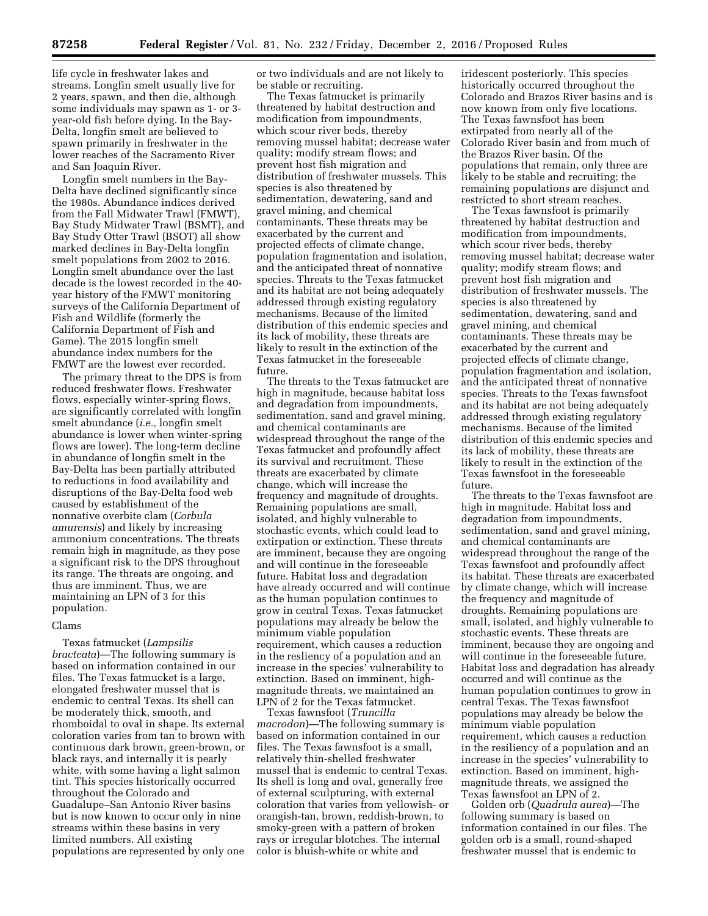life cycle in freshwater lakes and streams. Longfin smelt usually live for 2 years, spawn, and then die, although some individuals may spawn as 1- or 3 year-old fish before dying. In the Bay-Delta, longfin smelt are believed to spawn primarily in freshwater in the lower reaches of the Sacramento River and San Joaquin River.

Longfin smelt numbers in the Bay-Delta have declined significantly since the 1980s. Abundance indices derived from the Fall Midwater Trawl (FMWT), Bay Study Midwater Trawl (BSMT), and Bay Study Otter Trawl (BSOT) all show marked declines in Bay-Delta longfin smelt populations from 2002 to 2016. Longfin smelt abundance over the last decade is the lowest recorded in the 40 year history of the FMWT monitoring surveys of the California Department of Fish and Wildlife (formerly the California Department of Fish and Game). The 2015 longfin smelt abundance index numbers for the FMWT are the lowest ever recorded.

The primary threat to the DPS is from reduced freshwater flows. Freshwater flows, especially winter-spring flows, are significantly correlated with longfin smelt abundance (*i.e.,* longfin smelt abundance is lower when winter-spring flows are lower). The long-term decline in abundance of longfin smelt in the Bay-Delta has been partially attributed to reductions in food availability and disruptions of the Bay-Delta food web caused by establishment of the nonnative overbite clam (*Corbula amurensis*) and likely by increasing ammonium concentrations. The threats remain high in magnitude, as they pose a significant risk to the DPS throughout its range. The threats are ongoing, and thus are imminent. Thus, we are maintaining an LPN of 3 for this population.

## Clams

Texas fatmucket (*Lampsilis bracteata*)—The following summary is based on information contained in our files. The Texas fatmucket is a large, elongated freshwater mussel that is endemic to central Texas. Its shell can be moderately thick, smooth, and rhomboidal to oval in shape. Its external coloration varies from tan to brown with continuous dark brown, green-brown, or black rays, and internally it is pearly white, with some having a light salmon tint. This species historically occurred throughout the Colorado and Guadalupe–San Antonio River basins but is now known to occur only in nine streams within these basins in very limited numbers. All existing populations are represented by only one

or two individuals and are not likely to be stable or recruiting.

The Texas fatmucket is primarily threatened by habitat destruction and modification from impoundments, which scour river beds, thereby removing mussel habitat; decrease water quality; modify stream flows; and prevent host fish migration and distribution of freshwater mussels. This species is also threatened by sedimentation, dewatering, sand and gravel mining, and chemical contaminants. These threats may be exacerbated by the current and projected effects of climate change, population fragmentation and isolation, and the anticipated threat of nonnative species. Threats to the Texas fatmucket and its habitat are not being adequately addressed through existing regulatory mechanisms. Because of the limited distribution of this endemic species and its lack of mobility, these threats are likely to result in the extinction of the Texas fatmucket in the foreseeable future.

The threats to the Texas fatmucket are high in magnitude, because habitat loss and degradation from impoundments, sedimentation, sand and gravel mining, and chemical contaminants are widespread throughout the range of the Texas fatmucket and profoundly affect its survival and recruitment. These threats are exacerbated by climate change, which will increase the frequency and magnitude of droughts. Remaining populations are small, isolated, and highly vulnerable to stochastic events, which could lead to extirpation or extinction. These threats are imminent, because they are ongoing and will continue in the foreseeable future. Habitat loss and degradation have already occurred and will continue as the human population continues to grow in central Texas. Texas fatmucket populations may already be below the minimum viable population requirement, which causes a reduction in the resliency of a population and an increase in the species' vulnerability to extinction. Based on imminent, highmagnitude threats, we maintained an LPN of 2 for the Texas fatmucket.

Texas fawnsfoot (*Truncilla macrodon*)—The following summary is based on information contained in our files. The Texas fawnsfoot is a small, relatively thin-shelled freshwater mussel that is endemic to central Texas. Its shell is long and oval, generally free of external sculpturing, with external coloration that varies from yellowish- or orangish-tan, brown, reddish-brown, to smoky-green with a pattern of broken rays or irregular blotches. The internal color is bluish-white or white and

iridescent posteriorly. This species historically occurred throughout the Colorado and Brazos River basins and is now known from only five locations. The Texas fawnsfoot has been extirpated from nearly all of the Colorado River basin and from much of the Brazos River basin. Of the populations that remain, only three are likely to be stable and recruiting; the remaining populations are disjunct and restricted to short stream reaches.

The Texas fawnsfoot is primarily threatened by habitat destruction and modification from impoundments, which scour river beds, thereby removing mussel habitat; decrease water quality; modify stream flows; and prevent host fish migration and distribution of freshwater mussels. The species is also threatened by sedimentation, dewatering, sand and gravel mining, and chemical contaminants. These threats may be exacerbated by the current and projected effects of climate change, population fragmentation and isolation, and the anticipated threat of nonnative species. Threats to the Texas fawnsfoot and its habitat are not being adequately addressed through existing regulatory mechanisms. Because of the limited distribution of this endemic species and its lack of mobility, these threats are likely to result in the extinction of the Texas fawnsfoot in the foreseeable future.

The threats to the Texas fawnsfoot are high in magnitude. Habitat loss and degradation from impoundments, sedimentation, sand and gravel mining, and chemical contaminants are widespread throughout the range of the Texas fawnsfoot and profoundly affect its habitat. These threats are exacerbated by climate change, which will increase the frequency and magnitude of droughts. Remaining populations are small, isolated, and highly vulnerable to stochastic events. These threats are imminent, because they are ongoing and will continue in the foreseeable future. Habitat loss and degradation has already occurred and will continue as the human population continues to grow in central Texas. The Texas fawnsfoot populations may already be below the minimum viable population requirement, which causes a reduction in the resiliency of a population and an increase in the species' vulnerability to extinction. Based on imminent, highmagnitude threats, we assigned the Texas fawnsfoot an LPN of 2.

Golden orb (*Quadrula aurea*)—The following summary is based on information contained in our files. The golden orb is a small, round-shaped freshwater mussel that is endemic to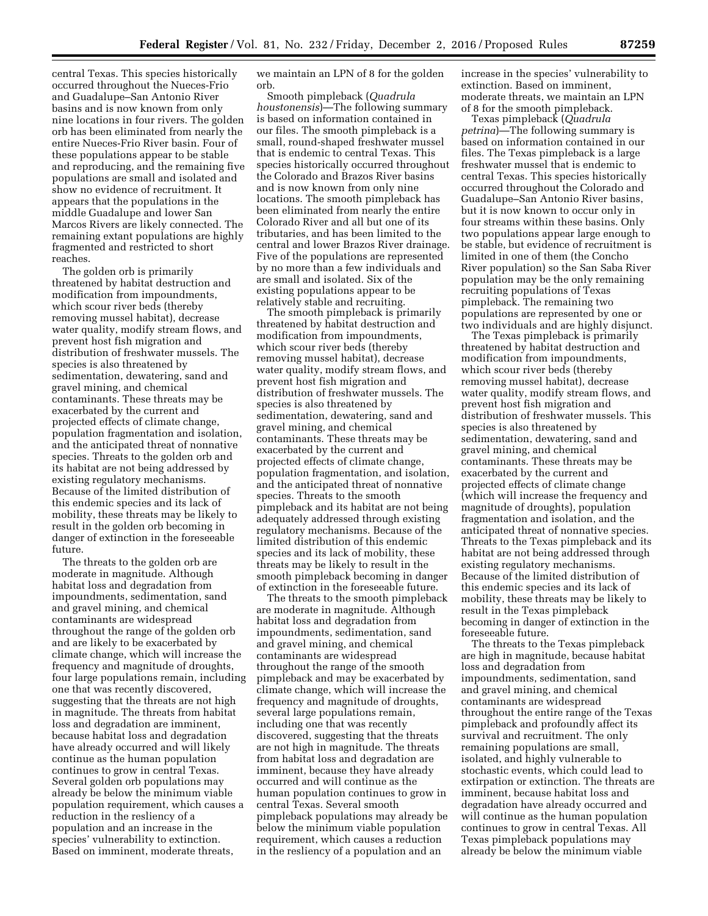central Texas. This species historically occurred throughout the Nueces-Frio and Guadalupe–San Antonio River basins and is now known from only nine locations in four rivers. The golden orb has been eliminated from nearly the entire Nueces-Frio River basin. Four of these populations appear to be stable and reproducing, and the remaining five populations are small and isolated and show no evidence of recruitment. It appears that the populations in the middle Guadalupe and lower San Marcos Rivers are likely connected. The remaining extant populations are highly fragmented and restricted to short reaches.

The golden orb is primarily threatened by habitat destruction and modification from impoundments, which scour river beds (thereby removing mussel habitat), decrease water quality, modify stream flows, and prevent host fish migration and distribution of freshwater mussels. The species is also threatened by sedimentation, dewatering, sand and gravel mining, and chemical contaminants. These threats may be exacerbated by the current and projected effects of climate change, population fragmentation and isolation, and the anticipated threat of nonnative species. Threats to the golden orb and its habitat are not being addressed by existing regulatory mechanisms. Because of the limited distribution of this endemic species and its lack of mobility, these threats may be likely to result in the golden orb becoming in danger of extinction in the foreseeable future.

The threats to the golden orb are moderate in magnitude. Although habitat loss and degradation from impoundments, sedimentation, sand and gravel mining, and chemical contaminants are widespread throughout the range of the golden orb and are likely to be exacerbated by climate change, which will increase the frequency and magnitude of droughts, four large populations remain, including one that was recently discovered, suggesting that the threats are not high in magnitude. The threats from habitat loss and degradation are imminent, because habitat loss and degradation have already occurred and will likely continue as the human population continues to grow in central Texas. Several golden orb populations may already be below the minimum viable population requirement, which causes a reduction in the resliency of a population and an increase in the species' vulnerability to extinction. Based on imminent, moderate threats,

we maintain an LPN of 8 for the golden orb.

Smooth pimpleback (*Quadrula houstonensis*)—The following summary is based on information contained in our files. The smooth pimpleback is a small, round-shaped freshwater mussel that is endemic to central Texas. This species historically occurred throughout the Colorado and Brazos River basins and is now known from only nine locations. The smooth pimpleback has been eliminated from nearly the entire Colorado River and all but one of its tributaries, and has been limited to the central and lower Brazos River drainage. Five of the populations are represented by no more than a few individuals and are small and isolated. Six of the existing populations appear to be relatively stable and recruiting.

The smooth pimpleback is primarily threatened by habitat destruction and modification from impoundments, which scour river beds (thereby removing mussel habitat), decrease water quality, modify stream flows, and prevent host fish migration and distribution of freshwater mussels. The species is also threatened by sedimentation, dewatering, sand and gravel mining, and chemical contaminants. These threats may be exacerbated by the current and projected effects of climate change, population fragmentation, and isolation, and the anticipated threat of nonnative species. Threats to the smooth pimpleback and its habitat are not being adequately addressed through existing regulatory mechanisms. Because of the limited distribution of this endemic species and its lack of mobility, these threats may be likely to result in the smooth pimpleback becoming in danger of extinction in the foreseeable future.

The threats to the smooth pimpleback are moderate in magnitude. Although habitat loss and degradation from impoundments, sedimentation, sand and gravel mining, and chemical contaminants are widespread throughout the range of the smooth pimpleback and may be exacerbated by climate change, which will increase the frequency and magnitude of droughts, several large populations remain, including one that was recently discovered, suggesting that the threats are not high in magnitude. The threats from habitat loss and degradation are imminent, because they have already occurred and will continue as the human population continues to grow in central Texas. Several smooth pimpleback populations may already be below the minimum viable population requirement, which causes a reduction in the resliency of a population and an

increase in the species' vulnerability to extinction. Based on imminent, moderate threats, we maintain an LPN of 8 for the smooth pimpleback.

Texas pimpleback (*Quadrula petrina*)—The following summary is based on information contained in our files. The Texas pimpleback is a large freshwater mussel that is endemic to central Texas. This species historically occurred throughout the Colorado and Guadalupe–San Antonio River basins, but it is now known to occur only in four streams within these basins. Only two populations appear large enough to be stable, but evidence of recruitment is limited in one of them (the Concho River population) so the San Saba River population may be the only remaining recruiting populations of Texas pimpleback. The remaining two populations are represented by one or two individuals and are highly disjunct.

The Texas pimpleback is primarily threatened by habitat destruction and modification from impoundments, which scour river beds (thereby removing mussel habitat), decrease water quality, modify stream flows, and prevent host fish migration and distribution of freshwater mussels. This species is also threatened by sedimentation, dewatering, sand and gravel mining, and chemical contaminants. These threats may be exacerbated by the current and projected effects of climate change (which will increase the frequency and magnitude of droughts), population fragmentation and isolation, and the anticipated threat of nonnative species. Threats to the Texas pimpleback and its habitat are not being addressed through existing regulatory mechanisms. Because of the limited distribution of this endemic species and its lack of mobility, these threats may be likely to result in the Texas pimpleback becoming in danger of extinction in the foreseeable future.

The threats to the Texas pimpleback are high in magnitude, because habitat loss and degradation from impoundments, sedimentation, sand and gravel mining, and chemical contaminants are widespread throughout the entire range of the Texas pimpleback and profoundly affect its survival and recruitment. The only remaining populations are small, isolated, and highly vulnerable to stochastic events, which could lead to extirpation or extinction. The threats are imminent, because habitat loss and degradation have already occurred and will continue as the human population continues to grow in central Texas. All Texas pimpleback populations may already be below the minimum viable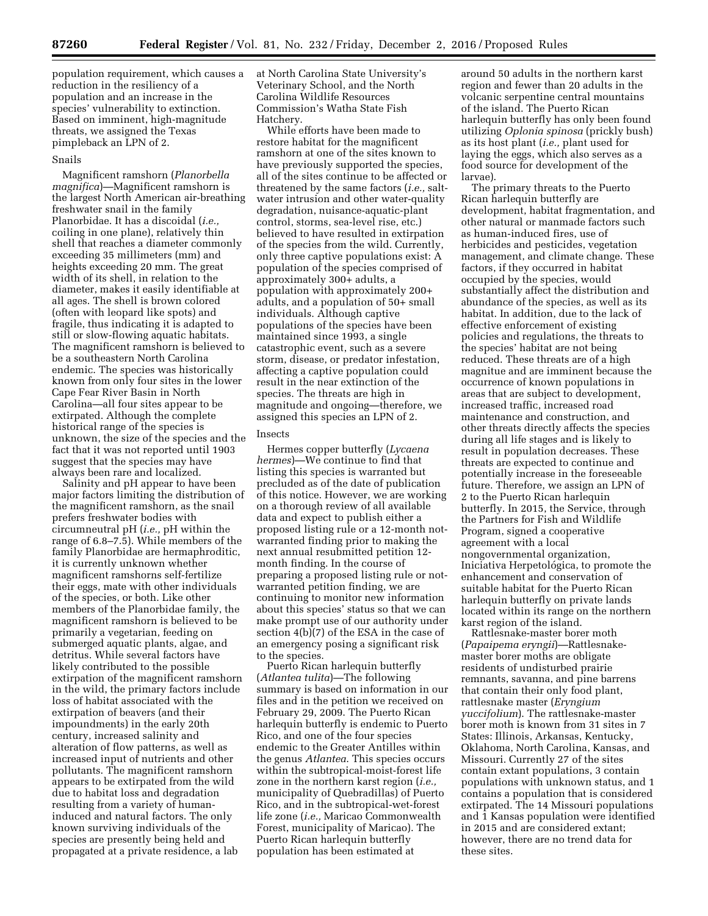population requirement, which causes a reduction in the resiliency of a population and an increase in the species' vulnerability to extinction. Based on imminent, high-magnitude threats, we assigned the Texas pimpleback an LPN of 2.

### Snails

Magnificent ramshorn (*Planorbella magnifica*)—Magnificent ramshorn is the largest North American air-breathing freshwater snail in the family Planorbidae. It has a discoidal (*i.e.,*  coiling in one plane), relatively thin shell that reaches a diameter commonly exceeding 35 millimeters (mm) and heights exceeding 20 mm. The great width of its shell, in relation to the diameter, makes it easily identifiable at all ages. The shell is brown colored (often with leopard like spots) and fragile, thus indicating it is adapted to still or slow-flowing aquatic habitats. The magnificent ramshorn is believed to be a southeastern North Carolina endemic. The species was historically known from only four sites in the lower Cape Fear River Basin in North Carolina—all four sites appear to be extirpated. Although the complete historical range of the species is unknown, the size of the species and the fact that it was not reported until 1903 suggest that the species may have always been rare and localized.

Salinity and pH appear to have been major factors limiting the distribution of the magnificent ramshorn, as the snail prefers freshwater bodies with circumneutral pH (*i.e.,* pH within the range of 6.8–7.5). While members of the family Planorbidae are hermaphroditic, it is currently unknown whether magnificent ramshorns self-fertilize their eggs, mate with other individuals of the species, or both. Like other members of the Planorbidae family, the magnificent ramshorn is believed to be primarily a vegetarian, feeding on submerged aquatic plants, algae, and detritus. While several factors have likely contributed to the possible extirpation of the magnificent ramshorn in the wild, the primary factors include loss of habitat associated with the extirpation of beavers (and their impoundments) in the early 20th century, increased salinity and alteration of flow patterns, as well as increased input of nutrients and other pollutants. The magnificent ramshorn appears to be extirpated from the wild due to habitat loss and degradation resulting from a variety of humaninduced and natural factors. The only known surviving individuals of the species are presently being held and propagated at a private residence, a lab

at North Carolina State University's Veterinary School, and the North Carolina Wildlife Resources Commission's Watha State Fish Hatchery.

While efforts have been made to restore habitat for the magnificent ramshorn at one of the sites known to have previously supported the species, all of the sites continue to be affected or threatened by the same factors (*i.e.,* saltwater intrusion and other water-quality degradation, nuisance-aquatic-plant control, storms, sea-level rise, etc.) believed to have resulted in extirpation of the species from the wild. Currently, only three captive populations exist: A population of the species comprised of approximately 300+ adults, a population with approximately 200+ adults, and a population of 50+ small individuals. Although captive populations of the species have been maintained since 1993, a single catastrophic event, such as a severe storm, disease, or predator infestation, affecting a captive population could result in the near extinction of the species. The threats are high in magnitude and ongoing—therefore, we assigned this species an LPN of 2.

#### Insects

Hermes copper butterfly (*Lycaena hermes*)—We continue to find that listing this species is warranted but precluded as of the date of publication of this notice. However, we are working on a thorough review of all available data and expect to publish either a proposed listing rule or a 12-month notwarranted finding prior to making the next annual resubmitted petition 12 month finding. In the course of preparing a proposed listing rule or notwarranted petition finding, we are continuing to monitor new information about this species' status so that we can make prompt use of our authority under section 4(b)(7) of the ESA in the case of an emergency posing a significant risk to the species.

Puerto Rican harlequin butterfly (*Atlantea tulita*)—The following summary is based on information in our files and in the petition we received on February 29, 2009. The Puerto Rican harlequin butterfly is endemic to Puerto Rico, and one of the four species endemic to the Greater Antilles within the genus *Atlantea*. This species occurs within the subtropical-moist-forest life zone in the northern karst region (*i.e.,*  municipality of Quebradillas) of Puerto Rico, and in the subtropical-wet-forest life zone (*i.e.,* Maricao Commonwealth Forest, municipality of Maricao). The Puerto Rican harlequin butterfly population has been estimated at

around 50 adults in the northern karst region and fewer than 20 adults in the volcanic serpentine central mountains of the island. The Puerto Rican harlequin butterfly has only been found utilizing *Oplonia spinosa* (prickly bush) as its host plant (*i.e.,* plant used for laying the eggs, which also serves as a food source for development of the larvae).

The primary threats to the Puerto Rican harlequin butterfly are development, habitat fragmentation, and other natural or manmade factors such as human-induced fires, use of herbicides and pesticides, vegetation management, and climate change. These factors, if they occurred in habitat occupied by the species, would substantially affect the distribution and abundance of the species, as well as its habitat. In addition, due to the lack of effective enforcement of existing policies and regulations, the threats to the species' habitat are not being reduced. These threats are of a high magnitue and are imminent because the occurrence of known populations in areas that are subject to development, increased traffic, increased road maintenance and construction, and other threats directly affects the species during all life stages and is likely to result in population decreases. These threats are expected to continue and potentially increase in the foreseeable future. Therefore, we assign an LPN of 2 to the Puerto Rican harlequin butterfly. In 2015, the Service, through the Partners for Fish and Wildlife Program, signed a cooperative agreement with a local nongovernmental organization, Iniciativa Herpetológica, to promote the enhancement and conservation of suitable habitat for the Puerto Rican harlequin butterfly on private lands located within its range on the northern karst region of the island.

Rattlesnake-master borer moth (*Papaipema eryngii*)—Rattlesnakemaster borer moths are obligate residents of undisturbed prairie remnants, savanna, and pine barrens that contain their only food plant, rattlesnake master (*Eryngium yuccifolium*). The rattlesnake-master borer moth is known from 31 sites in 7 States: Illinois, Arkansas, Kentucky, Oklahoma, North Carolina, Kansas, and Missouri. Currently 27 of the sites contain extant populations, 3 contain populations with unknown status, and 1 contains a population that is considered extirpated. The 14 Missouri populations and 1 Kansas population were identified in 2015 and are considered extant; however, there are no trend data for these sites.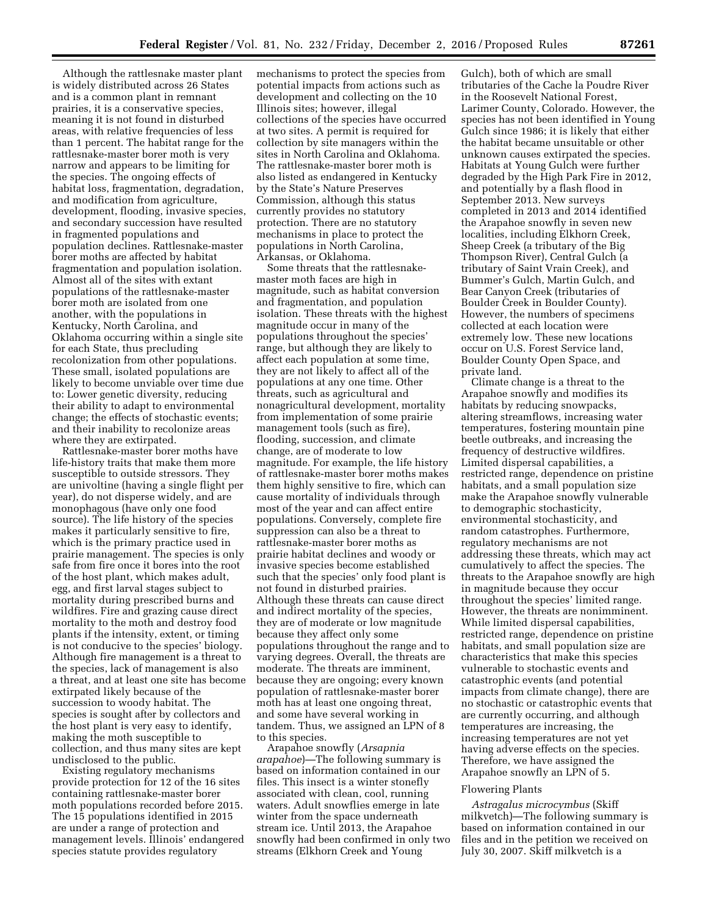Although the rattlesnake master plant is widely distributed across 26 States and is a common plant in remnant prairies, it is a conservative species, meaning it is not found in disturbed areas, with relative frequencies of less than 1 percent. The habitat range for the rattlesnake-master borer moth is very narrow and appears to be limiting for the species. The ongoing effects of habitat loss, fragmentation, degradation, and modification from agriculture, development, flooding, invasive species, and secondary succession have resulted in fragmented populations and population declines. Rattlesnake-master borer moths are affected by habitat fragmentation and population isolation. Almost all of the sites with extant populations of the rattlesnake-master borer moth are isolated from one another, with the populations in Kentucky, North Carolina, and Oklahoma occurring within a single site for each State, thus precluding recolonization from other populations. These small, isolated populations are likely to become unviable over time due to: Lower genetic diversity, reducing their ability to adapt to environmental change; the effects of stochastic events; and their inability to recolonize areas where they are extirpated.

Rattlesnake-master borer moths have life-history traits that make them more susceptible to outside stressors. They are univoltine (having a single flight per year), do not disperse widely, and are monophagous (have only one food source). The life history of the species makes it particularly sensitive to fire, which is the primary practice used in prairie management. The species is only safe from fire once it bores into the root of the host plant, which makes adult, egg, and first larval stages subject to mortality during prescribed burns and wildfires. Fire and grazing cause direct mortality to the moth and destroy food plants if the intensity, extent, or timing is not conducive to the species' biology. Although fire management is a threat to the species, lack of management is also a threat, and at least one site has become extirpated likely because of the succession to woody habitat. The species is sought after by collectors and the host plant is very easy to identify, making the moth susceptible to collection, and thus many sites are kept undisclosed to the public.

Existing regulatory mechanisms provide protection for 12 of the 16 sites containing rattlesnake-master borer moth populations recorded before 2015. The 15 populations identified in 2015 are under a range of protection and management levels. Illinois' endangered species statute provides regulatory

mechanisms to protect the species from potential impacts from actions such as development and collecting on the 10 Illinois sites; however, illegal collections of the species have occurred at two sites. A permit is required for collection by site managers within the sites in North Carolina and Oklahoma. The rattlesnake-master borer moth is also listed as endangered in Kentucky by the State's Nature Preserves Commission, although this status currently provides no statutory protection. There are no statutory mechanisms in place to protect the populations in North Carolina, Arkansas, or Oklahoma.

Some threats that the rattlesnakemaster moth faces are high in magnitude, such as habitat conversion and fragmentation, and population isolation. These threats with the highest magnitude occur in many of the populations throughout the species' range, but although they are likely to affect each population at some time, they are not likely to affect all of the populations at any one time. Other threats, such as agricultural and nonagricultural development, mortality from implementation of some prairie management tools (such as fire), flooding, succession, and climate change, are of moderate to low magnitude. For example, the life history of rattlesnake-master borer moths makes them highly sensitive to fire, which can cause mortality of individuals through most of the year and can affect entire populations. Conversely, complete fire suppression can also be a threat to rattlesnake-master borer moths as prairie habitat declines and woody or invasive species become established such that the species' only food plant is not found in disturbed prairies. Although these threats can cause direct and indirect mortality of the species, they are of moderate or low magnitude because they affect only some populations throughout the range and to varying degrees. Overall, the threats are moderate. The threats are imminent, because they are ongoing; every known population of rattlesnake-master borer moth has at least one ongoing threat, and some have several working in tandem. Thus, we assigned an LPN of 8 to this species.

Arapahoe snowfly (*Arsapnia arapahoe*)—The following summary is based on information contained in our files. This insect is a winter stonefly associated with clean, cool, running waters. Adult snowflies emerge in late winter from the space underneath stream ice. Until 2013, the Arapahoe snowfly had been confirmed in only two streams (Elkhorn Creek and Young

Gulch), both of which are small tributaries of the Cache la Poudre River in the Roosevelt National Forest, Larimer County, Colorado. However, the species has not been identified in Young Gulch since 1986; it is likely that either the habitat became unsuitable or other unknown causes extirpated the species. Habitats at Young Gulch were further degraded by the High Park Fire in 2012, and potentially by a flash flood in September 2013. New surveys completed in 2013 and 2014 identified the Arapahoe snowfly in seven new localities, including Elkhorn Creek, Sheep Creek (a tributary of the Big Thompson River), Central Gulch (a tributary of Saint Vrain Creek), and Bummer's Gulch, Martin Gulch, and Bear Canyon Creek (tributaries of Boulder Creek in Boulder County). However, the numbers of specimens collected at each location were extremely low. These new locations occur on U.S. Forest Service land, Boulder County Open Space, and private land.

Climate change is a threat to the Arapahoe snowfly and modifies its habitats by reducing snowpacks, altering streamflows, increasing water temperatures, fostering mountain pine beetle outbreaks, and increasing the frequency of destructive wildfires. Limited dispersal capabilities, a restricted range, dependence on pristine habitats, and a small population size make the Arapahoe snowfly vulnerable to demographic stochasticity, environmental stochasticity, and random catastrophes. Furthermore, regulatory mechanisms are not addressing these threats, which may act cumulatively to affect the species. The threats to the Arapahoe snowfly are high in magnitude because they occur throughout the species' limited range. However, the threats are nonimminent. While limited dispersal capabilities, restricted range, dependence on pristine habitats, and small population size are characteristics that make this species vulnerable to stochastic events and catastrophic events (and potential impacts from climate change), there are no stochastic or catastrophic events that are currently occurring, and although temperatures are increasing, the increasing temperatures are not yet having adverse effects on the species. Therefore, we have assigned the Arapahoe snowfly an LPN of 5.

## Flowering Plants

*Astragalus microcymbus* (Skiff milkvetch)—The following summary is based on information contained in our files and in the petition we received on July 30, 2007. Skiff milkvetch is a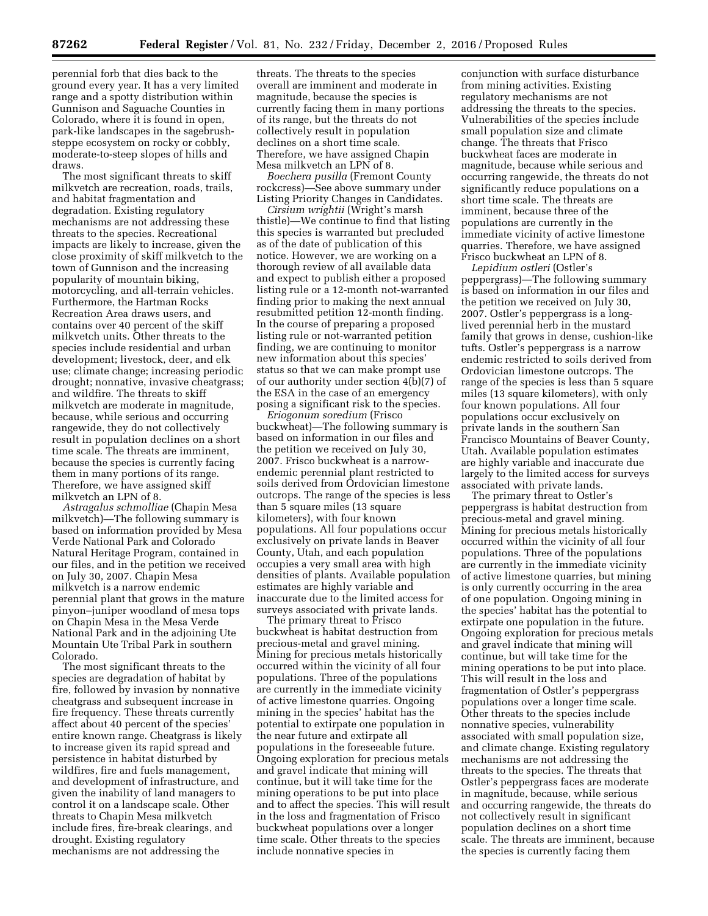perennial forb that dies back to the ground every year. It has a very limited range and a spotty distribution within Gunnison and Saguache Counties in Colorado, where it is found in open, park-like landscapes in the sagebrushsteppe ecosystem on rocky or cobbly, moderate-to-steep slopes of hills and draws.

The most significant threats to skiff milkvetch are recreation, roads, trails, and habitat fragmentation and degradation. Existing regulatory mechanisms are not addressing these threats to the species. Recreational impacts are likely to increase, given the close proximity of skiff milkvetch to the town of Gunnison and the increasing popularity of mountain biking, motorcycling, and all-terrain vehicles. Furthermore, the Hartman Rocks Recreation Area draws users, and contains over 40 percent of the skiff milkvetch units. Other threats to the species include residential and urban development; livestock, deer, and elk use; climate change; increasing periodic drought; nonnative, invasive cheatgrass; and wildfire. The threats to skiff milkvetch are moderate in magnitude, because, while serious and occurring rangewide, they do not collectively result in population declines on a short time scale. The threats are imminent, because the species is currently facing them in many portions of its range. Therefore, we have assigned skiff milkvetch an LPN of 8.

*Astragalus schmolliae* (Chapin Mesa milkvetch)—The following summary is based on information provided by Mesa Verde National Park and Colorado Natural Heritage Program, contained in our files, and in the petition we received on July 30, 2007. Chapin Mesa milkvetch is a narrow endemic perennial plant that grows in the mature pinyon–juniper woodland of mesa tops on Chapin Mesa in the Mesa Verde National Park and in the adjoining Ute Mountain Ute Tribal Park in southern Colorado.

The most significant threats to the species are degradation of habitat by fire, followed by invasion by nonnative cheatgrass and subsequent increase in fire frequency. These threats currently affect about 40 percent of the species' entire known range. Cheatgrass is likely to increase given its rapid spread and persistence in habitat disturbed by wildfires, fire and fuels management, and development of infrastructure, and given the inability of land managers to control it on a landscape scale. Other threats to Chapin Mesa milkvetch include fires, fire-break clearings, and drought. Existing regulatory mechanisms are not addressing the

threats. The threats to the species overall are imminent and moderate in magnitude, because the species is currently facing them in many portions of its range, but the threats do not collectively result in population declines on a short time scale. Therefore, we have assigned Chapin Mesa milkvetch an LPN of 8.

*Boechera pusilla* (Fremont County rockcress)—See above summary under Listing Priority Changes in Candidates.

*Cirsium wrightii* (Wright's marsh thistle)—We continue to find that listing this species is warranted but precluded as of the date of publication of this notice. However, we are working on a thorough review of all available data and expect to publish either a proposed listing rule or a 12-month not-warranted finding prior to making the next annual resubmitted petition 12-month finding. In the course of preparing a proposed listing rule or not-warranted petition finding, we are continuing to monitor new information about this species' status so that we can make prompt use of our authority under section 4(b)(7) of the ESA in the case of an emergency posing a significant risk to the species.

*Eriogonum soredium* (Frisco buckwheat)—The following summary is based on information in our files and the petition we received on July 30, 2007. Frisco buckwheat is a narrowendemic perennial plant restricted to soils derived from Ordovician limestone outcrops. The range of the species is less than 5 square miles (13 square kilometers), with four known populations. All four populations occur exclusively on private lands in Beaver County, Utah, and each population occupies a very small area with high densities of plants. Available population estimates are highly variable and inaccurate due to the limited access for surveys associated with private lands.

The primary threat to Frisco buckwheat is habitat destruction from precious-metal and gravel mining. Mining for precious metals historically occurred within the vicinity of all four populations. Three of the populations are currently in the immediate vicinity of active limestone quarries. Ongoing mining in the species' habitat has the potential to extirpate one population in the near future and extirpate all populations in the foreseeable future. Ongoing exploration for precious metals and gravel indicate that mining will continue, but it will take time for the mining operations to be put into place and to affect the species. This will result in the loss and fragmentation of Frisco buckwheat populations over a longer time scale. Other threats to the species include nonnative species in

conjunction with surface disturbance from mining activities. Existing regulatory mechanisms are not addressing the threats to the species. Vulnerabilities of the species include small population size and climate change. The threats that Frisco buckwheat faces are moderate in magnitude, because while serious and occurring rangewide, the threats do not significantly reduce populations on a short time scale. The threats are imminent, because three of the populations are currently in the immediate vicinity of active limestone quarries. Therefore, we have assigned Frisco buckwheat an LPN of 8.

*Lepidium ostleri* (Ostler's peppergrass)—The following summary is based on information in our files and the petition we received on July 30, 2007. Ostler's peppergrass is a longlived perennial herb in the mustard family that grows in dense, cushion-like tufts. Ostler's peppergrass is a narrow endemic restricted to soils derived from Ordovician limestone outcrops. The range of the species is less than 5 square miles (13 square kilometers), with only four known populations. All four populations occur exclusively on private lands in the southern San Francisco Mountains of Beaver County, Utah. Available population estimates are highly variable and inaccurate due largely to the limited access for surveys associated with private lands.

The primary threat to Ostler's peppergrass is habitat destruction from precious-metal and gravel mining. Mining for precious metals historically occurred within the vicinity of all four populations. Three of the populations are currently in the immediate vicinity of active limestone quarries, but mining is only currently occurring in the area of one population. Ongoing mining in the species' habitat has the potential to extirpate one population in the future. Ongoing exploration for precious metals and gravel indicate that mining will continue, but will take time for the mining operations to be put into place. This will result in the loss and fragmentation of Ostler's peppergrass populations over a longer time scale. Other threats to the species include nonnative species, vulnerability associated with small population size, and climate change. Existing regulatory mechanisms are not addressing the threats to the species. The threats that Ostler's peppergrass faces are moderate in magnitude, because, while serious and occurring rangewide, the threats do not collectively result in significant population declines on a short time scale. The threats are imminent, because the species is currently facing them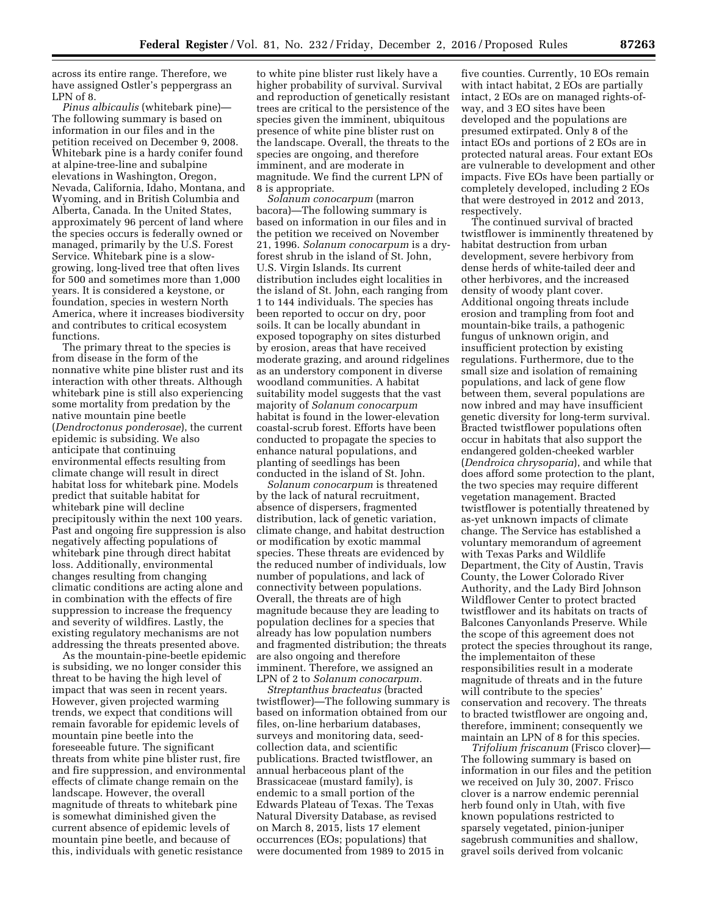across its entire range. Therefore, we have assigned Ostler's peppergrass an LPN of 8.

*Pinus albicaulis* (whitebark pine)— The following summary is based on information in our files and in the petition received on December 9, 2008. Whitebark pine is a hardy conifer found at alpine-tree-line and subalpine elevations in Washington, Oregon, Nevada, California, Idaho, Montana, and Wyoming, and in British Columbia and Alberta, Canada. In the United States, approximately 96 percent of land where the species occurs is federally owned or managed, primarily by the U.S. Forest Service. Whitebark pine is a slowgrowing, long-lived tree that often lives for 500 and sometimes more than 1,000 years. It is considered a keystone, or foundation, species in western North America, where it increases biodiversity and contributes to critical ecosystem functions.

The primary threat to the species is from disease in the form of the nonnative white pine blister rust and its interaction with other threats. Although whitebark pine is still also experiencing some mortality from predation by the native mountain pine beetle (*Dendroctonus ponderosae*), the current epidemic is subsiding. We also anticipate that continuing environmental effects resulting from climate change will result in direct habitat loss for whitebark pine. Models predict that suitable habitat for whitebark pine will decline precipitously within the next 100 years. Past and ongoing fire suppression is also negatively affecting populations of whitebark pine through direct habitat loss. Additionally, environmental changes resulting from changing climatic conditions are acting alone and in combination with the effects of fire suppression to increase the frequency and severity of wildfires. Lastly, the existing regulatory mechanisms are not addressing the threats presented above.

As the mountain-pine-beetle epidemic is subsiding, we no longer consider this threat to be having the high level of impact that was seen in recent years. However, given projected warming trends, we expect that conditions will remain favorable for epidemic levels of mountain pine beetle into the foreseeable future. The significant threats from white pine blister rust, fire and fire suppression, and environmental effects of climate change remain on the landscape. However, the overall magnitude of threats to whitebark pine is somewhat diminished given the current absence of epidemic levels of mountain pine beetle, and because of this, individuals with genetic resistance

to white pine blister rust likely have a higher probability of survival. Survival and reproduction of genetically resistant trees are critical to the persistence of the species given the imminent, ubiquitous presence of white pine blister rust on the landscape. Overall, the threats to the species are ongoing, and therefore imminent, and are moderate in magnitude. We find the current LPN of 8 is appropriate.

*Solanum conocarpum* (marron bacora)—The following summary is based on information in our files and in the petition we received on November 21, 1996. *Solanum conocarpum* is a dryforest shrub in the island of St. John, U.S. Virgin Islands. Its current distribution includes eight localities in the island of St. John, each ranging from 1 to 144 individuals. The species has been reported to occur on dry, poor soils. It can be locally abundant in exposed topography on sites disturbed by erosion, areas that have received moderate grazing, and around ridgelines as an understory component in diverse woodland communities. A habitat suitability model suggests that the vast majority of *Solanum conocarpum*  habitat is found in the lower-elevation coastal-scrub forest. Efforts have been conducted to propagate the species to enhance natural populations, and planting of seedlings has been conducted in the island of St. John.

*Solanum conocarpum* is threatened by the lack of natural recruitment, absence of dispersers, fragmented distribution, lack of genetic variation, climate change, and habitat destruction or modification by exotic mammal species. These threats are evidenced by the reduced number of individuals, low number of populations, and lack of connectivity between populations. Overall, the threats are of high magnitude because they are leading to population declines for a species that already has low population numbers and fragmented distribution; the threats are also ongoing and therefore imminent. Therefore, we assigned an LPN of 2 to *Solanum conocarpum.* 

*Streptanthus bracteatus* (bracted twistflower)—The following summary is based on information obtained from our files, on-line herbarium databases, surveys and monitoring data, seedcollection data, and scientific publications. Bracted twistflower, an annual herbaceous plant of the Brassicaceae (mustard family), is endemic to a small portion of the Edwards Plateau of Texas. The Texas Natural Diversity Database, as revised on March 8, 2015, lists 17 element occurrences (EOs; populations) that were documented from 1989 to 2015 in

five counties. Currently, 10 EOs remain with intact habitat, 2 EOs are partially intact, 2 EOs are on managed rights-ofway, and 3 EO sites have been developed and the populations are presumed extirpated. Only 8 of the intact EOs and portions of 2 EOs are in protected natural areas. Four extant EOs are vulnerable to development and other impacts. Five EOs have been partially or completely developed, including 2 EOs that were destroyed in 2012 and 2013, respectively.

The continued survival of bracted twistflower is imminently threatened by habitat destruction from urban development, severe herbivory from dense herds of white-tailed deer and other herbivores, and the increased density of woody plant cover. Additional ongoing threats include erosion and trampling from foot and mountain-bike trails, a pathogenic fungus of unknown origin, and insufficient protection by existing regulations. Furthermore, due to the small size and isolation of remaining populations, and lack of gene flow between them, several populations are now inbred and may have insufficient genetic diversity for long-term survival. Bracted twistflower populations often occur in habitats that also support the endangered golden-cheeked warbler (*Dendroica chrysoparia*), and while that does afford some protection to the plant, the two species may require different vegetation management. Bracted twistflower is potentially threatened by as-yet unknown impacts of climate change. The Service has established a voluntary memorandum of agreement with Texas Parks and Wildlife Department, the City of Austin, Travis County, the Lower Colorado River Authority, and the Lady Bird Johnson Wildflower Center to protect bracted twistflower and its habitats on tracts of Balcones Canyonlands Preserve. While the scope of this agreement does not protect the species throughout its range, the implementaiton of these responsibilities result in a moderate magnitude of threats and in the future will contribute to the species' conservation and recovery. The threats to bracted twistflower are ongoing and, therefore, imminent; consequently we maintain an LPN of 8 for this species.

*Trifolium friscanum* (Frisco clover)— The following summary is based on information in our files and the petition we received on July 30, 2007. Frisco clover is a narrow endemic perennial herb found only in Utah, with five known populations restricted to sparsely vegetated, pinion-juniper sagebrush communities and shallow, gravel soils derived from volcanic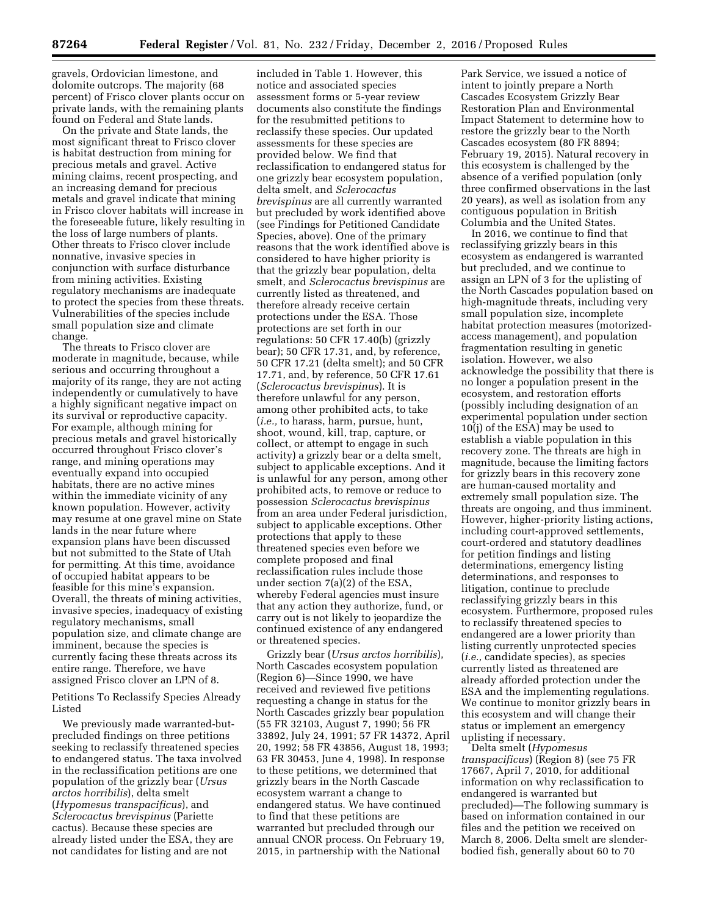gravels, Ordovician limestone, and dolomite outcrops. The majority (68 percent) of Frisco clover plants occur on private lands, with the remaining plants found on Federal and State lands.

On the private and State lands, the most significant threat to Frisco clover is habitat destruction from mining for precious metals and gravel. Active mining claims, recent prospecting, and an increasing demand for precious metals and gravel indicate that mining in Frisco clover habitats will increase in the foreseeable future, likely resulting in the loss of large numbers of plants. Other threats to Frisco clover include nonnative, invasive species in conjunction with surface disturbance from mining activities. Existing regulatory mechanisms are inadequate to protect the species from these threats. Vulnerabilities of the species include small population size and climate change.

The threats to Frisco clover are moderate in magnitude, because, while serious and occurring throughout a majority of its range, they are not acting independently or cumulatively to have a highly significant negative impact on its survival or reproductive capacity. For example, although mining for precious metals and gravel historically occurred throughout Frisco clover's range, and mining operations may eventually expand into occupied habitats, there are no active mines within the immediate vicinity of any known population. However, activity may resume at one gravel mine on State lands in the near future where expansion plans have been discussed but not submitted to the State of Utah for permitting. At this time, avoidance of occupied habitat appears to be feasible for this mine's expansion. Overall, the threats of mining activities, invasive species, inadequacy of existing regulatory mechanisms, small population size, and climate change are imminent, because the species is currently facing these threats across its entire range. Therefore, we have assigned Frisco clover an LPN of 8.

Petitions To Reclassify Species Already Listed

We previously made warranted-butprecluded findings on three petitions seeking to reclassify threatened species to endangered status. The taxa involved in the reclassification petitions are one population of the grizzly bear (*Ursus arctos horribilis*), delta smelt (*Hypomesus transpacificus*), and *Sclerocactus brevispinus* (Pariette cactus). Because these species are already listed under the ESA, they are not candidates for listing and are not

included in Table 1. However, this notice and associated species assessment forms or 5-year review documents also constitute the findings for the resubmitted petitions to reclassify these species. Our updated assessments for these species are provided below. We find that reclassification to endangered status for one grizzly bear ecosystem population, delta smelt, and *Sclerocactus brevispinus* are all currently warranted but precluded by work identified above (see Findings for Petitioned Candidate Species, above). One of the primary reasons that the work identified above is considered to have higher priority is that the grizzly bear population, delta smelt, and *Sclerocactus brevispinus* are currently listed as threatened, and therefore already receive certain protections under the ESA. Those protections are set forth in our regulations: 50 CFR 17.40(b) (grizzly bear); 50 CFR 17.31, and, by reference, 50 CFR 17.21 (delta smelt); and 50 CFR 17.71, and, by reference, 50 CFR 17.61 (*Sclerocactus brevispinus*). It is therefore unlawful for any person, among other prohibited acts, to take (*i.e.,* to harass, harm, pursue, hunt, shoot, wound, kill, trap, capture, or collect, or attempt to engage in such activity) a grizzly bear or a delta smelt, subject to applicable exceptions. And it is unlawful for any person, among other prohibited acts, to remove or reduce to possession *Sclerocactus brevispinus*  from an area under Federal jurisdiction, subject to applicable exceptions. Other protections that apply to these threatened species even before we complete proposed and final reclassification rules include those under section 7(a)(2) of the ESA, whereby Federal agencies must insure that any action they authorize, fund, or carry out is not likely to jeopardize the continued existence of any endangered or threatened species.

Grizzly bear (*Ursus arctos horribilis*), North Cascades ecosystem population (Region 6)—Since 1990, we have received and reviewed five petitions requesting a change in status for the North Cascades grizzly bear population (55 FR 32103, August 7, 1990; 56 FR 33892, July 24, 1991; 57 FR 14372, April 20, 1992; 58 FR 43856, August 18, 1993; 63 FR 30453, June 4, 1998). In response to these petitions, we determined that grizzly bears in the North Cascade ecosystem warrant a change to endangered status. We have continued to find that these petitions are warranted but precluded through our annual CNOR process. On February 19, 2015, in partnership with the National

Park Service, we issued a notice of intent to jointly prepare a North Cascades Ecosystem Grizzly Bear Restoration Plan and Environmental Impact Statement to determine how to restore the grizzly bear to the North Cascades ecosystem (80 FR 8894; February 19, 2015). Natural recovery in this ecosystem is challenged by the absence of a verified population (only three confirmed observations in the last 20 years), as well as isolation from any contiguous population in British Columbia and the United States.

In 2016, we continue to find that reclassifying grizzly bears in this ecosystem as endangered is warranted but precluded, and we continue to assign an LPN of 3 for the uplisting of the North Cascades population based on high-magnitude threats, including very small population size, incomplete habitat protection measures (motorizedaccess management), and population fragmentation resulting in genetic isolation. However, we also acknowledge the possibility that there is no longer a population present in the ecosystem, and restoration efforts (possibly including designation of an experimental population under section 10(j) of the ESA) may be used to establish a viable population in this recovery zone. The threats are high in magnitude, because the limiting factors for grizzly bears in this recovery zone are human-caused mortality and extremely small population size. The threats are ongoing, and thus imminent. However, higher-priority listing actions, including court-approved settlements, court-ordered and statutory deadlines for petition findings and listing determinations, emergency listing determinations, and responses to litigation, continue to preclude reclassifying grizzly bears in this ecosystem. Furthermore, proposed rules to reclassify threatened species to endangered are a lower priority than listing currently unprotected species (*i.e.,* candidate species), as species currently listed as threatened are already afforded protection under the ESA and the implementing regulations. We continue to monitor grizzly bears in this ecosystem and will change their status or implement an emergency uplisting if necessary.

Delta smelt (*Hypomesus transpacificus*) (Region 8) (see 75 FR 17667, April 7, 2010, for additional information on why reclassification to endangered is warranted but precluded)—The following summary is based on information contained in our files and the petition we received on March 8, 2006. Delta smelt are slenderbodied fish, generally about 60 to 70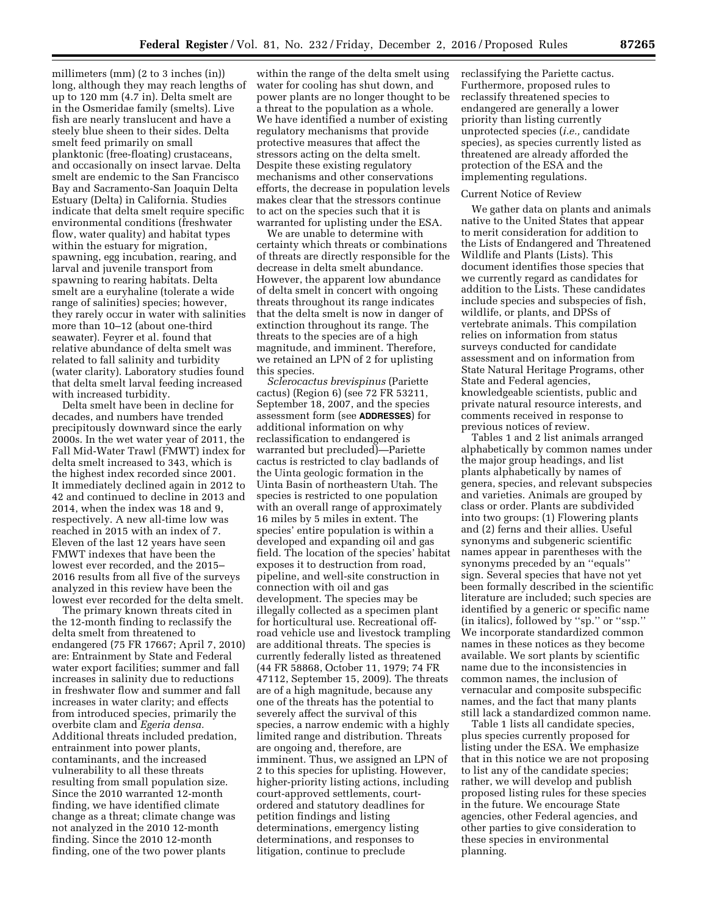millimeters (mm) (2 to 3 inches (in)) long, although they may reach lengths of up to 120 mm (4.7 in). Delta smelt are in the Osmeridae family (smelts). Live fish are nearly translucent and have a steely blue sheen to their sides. Delta smelt feed primarily on small planktonic (free-floating) crustaceans, and occasionally on insect larvae. Delta smelt are endemic to the San Francisco Bay and Sacramento-San Joaquin Delta Estuary (Delta) in California. Studies indicate that delta smelt require specific environmental conditions (freshwater flow, water quality) and habitat types within the estuary for migration, spawning, egg incubation, rearing, and larval and juvenile transport from spawning to rearing habitats. Delta smelt are a euryhaline (tolerate a wide range of salinities) species; however, they rarely occur in water with salinities more than 10–12 (about one-third seawater). Feyrer et al. found that relative abundance of delta smelt was related to fall salinity and turbidity (water clarity). Laboratory studies found that delta smelt larval feeding increased with increased turbidity.

Delta smelt have been in decline for decades, and numbers have trended precipitously downward since the early 2000s. In the wet water year of 2011, the Fall Mid-Water Trawl (FMWT) index for delta smelt increased to 343, which is the highest index recorded since 2001. It immediately declined again in 2012 to 42 and continued to decline in 2013 and 2014, when the index was 18 and 9, respectively. A new all-time low was reached in 2015 with an index of 7. Eleven of the last 12 years have seen FMWT indexes that have been the lowest ever recorded, and the 2015– 2016 results from all five of the surveys analyzed in this review have been the lowest ever recorded for the delta smelt.

The primary known threats cited in the 12-month finding to reclassify the delta smelt from threatened to endangered (75 FR 17667; April 7, 2010) are: Entrainment by State and Federal water export facilities; summer and fall increases in salinity due to reductions in freshwater flow and summer and fall increases in water clarity; and effects from introduced species, primarily the overbite clam and *Egeria densa.*  Additional threats included predation, entrainment into power plants, contaminants, and the increased vulnerability to all these threats resulting from small population size. Since the 2010 warranted 12-month finding, we have identified climate change as a threat; climate change was not analyzed in the 2010 12-month finding. Since the 2010 12-month finding, one of the two power plants

within the range of the delta smelt using water for cooling has shut down, and power plants are no longer thought to be a threat to the population as a whole. We have identified a number of existing regulatory mechanisms that provide protective measures that affect the stressors acting on the delta smelt. Despite these existing regulatory mechanisms and other conservations efforts, the decrease in population levels makes clear that the stressors continue to act on the species such that it is warranted for uplisting under the ESA.

We are unable to determine with certainty which threats or combinations of threats are directly responsible for the decrease in delta smelt abundance. However, the apparent low abundance of delta smelt in concert with ongoing threats throughout its range indicates that the delta smelt is now in danger of extinction throughout its range. The threats to the species are of a high magnitude, and imminent. Therefore, we retained an LPN of 2 for uplisting this species.

*Sclerocactus brevispinus* (Pariette cactus) (Region 6) (see 72 FR 53211, September 18, 2007, and the species assessment form (see **ADDRESSES**) for additional information on why reclassification to endangered is warranted but precluded)—Pariette cactus is restricted to clay badlands of the Uinta geologic formation in the Uinta Basin of northeastern Utah. The species is restricted to one population with an overall range of approximately 16 miles by 5 miles in extent. The species' entire population is within a developed and expanding oil and gas field. The location of the species' habitat exposes it to destruction from road, pipeline, and well-site construction in connection with oil and gas development. The species may be illegally collected as a specimen plant for horticultural use. Recreational offroad vehicle use and livestock trampling are additional threats. The species is currently federally listed as threatened (44 FR 58868, October 11, 1979; 74 FR 47112, September 15, 2009). The threats are of a high magnitude, because any one of the threats has the potential to severely affect the survival of this species, a narrow endemic with a highly limited range and distribution. Threats are ongoing and, therefore, are imminent. Thus, we assigned an LPN of 2 to this species for uplisting. However, higher-priority listing actions, including court-approved settlements, courtordered and statutory deadlines for petition findings and listing determinations, emergency listing determinations, and responses to litigation, continue to preclude

reclassifying the Pariette cactus. Furthermore, proposed rules to reclassify threatened species to endangered are generally a lower priority than listing currently unprotected species (*i.e.,* candidate species), as species currently listed as threatened are already afforded the protection of the ESA and the implementing regulations.

#### Current Notice of Review

We gather data on plants and animals native to the United States that appear to merit consideration for addition to the Lists of Endangered and Threatened Wildlife and Plants (Lists). This document identifies those species that we currently regard as candidates for addition to the Lists. These candidates include species and subspecies of fish, wildlife, or plants, and DPSs of vertebrate animals. This compilation relies on information from status surveys conducted for candidate assessment and on information from State Natural Heritage Programs, other State and Federal agencies, knowledgeable scientists, public and private natural resource interests, and comments received in response to previous notices of review.

Tables 1 and 2 list animals arranged alphabetically by common names under the major group headings, and list plants alphabetically by names of genera, species, and relevant subspecies and varieties. Animals are grouped by class or order. Plants are subdivided into two groups: (1) Flowering plants and (2) ferns and their allies. Useful synonyms and subgeneric scientific names appear in parentheses with the synonyms preceded by an ''equals'' sign. Several species that have not yet been formally described in the scientific literature are included; such species are identified by a generic or specific name (in italics), followed by ''sp.'' or ''ssp.'' We incorporate standardized common names in these notices as they become available. We sort plants by scientific name due to the inconsistencies in common names, the inclusion of vernacular and composite subspecific names, and the fact that many plants still lack a standardized common name.

Table 1 lists all candidate species, plus species currently proposed for listing under the ESA. We emphasize that in this notice we are not proposing to list any of the candidate species; rather, we will develop and publish proposed listing rules for these species in the future. We encourage State agencies, other Federal agencies, and other parties to give consideration to these species in environmental planning.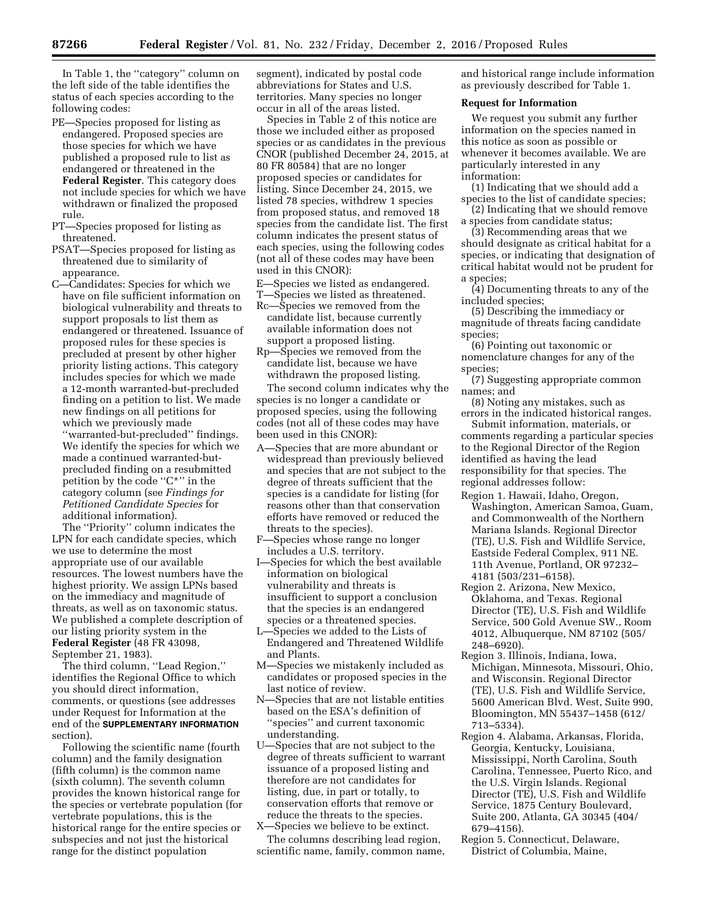In Table 1, the ''category'' column on the left side of the table identifies the status of each species according to the following codes:

- PE—Species proposed for listing as endangered. Proposed species are those species for which we have published a proposed rule to list as endangered or threatened in the **Federal Register**. This category does not include species for which we have withdrawn or finalized the proposed rule.
- PT—Species proposed for listing as threatened.
- PSAT—Species proposed for listing as threatened due to similarity of appearance.
- C—Candidates: Species for which we have on file sufficient information on biological vulnerability and threats to support proposals to list them as endangered or threatened. Issuance of proposed rules for these species is precluded at present by other higher priority listing actions. This category includes species for which we made a 12-month warranted-but-precluded finding on a petition to list. We made new findings on all petitions for which we previously made

''warranted-but-precluded'' findings. We identify the species for which we made a continued warranted-butprecluded finding on a resubmitted petition by the code ''C\*'' in the category column (see *Findings for Petitioned Candidate Species* for additional information).

The ''Priority'' column indicates the LPN for each candidate species, which we use to determine the most appropriate use of our available resources. The lowest numbers have the highest priority. We assign LPNs based on the immediacy and magnitude of threats, as well as on taxonomic status. We published a complete description of our listing priority system in the **Federal Register** (48 FR 43098, September 21, 1983).

The third column, ''Lead Region,'' identifies the Regional Office to which you should direct information, comments, or questions (see addresses under Request for Information at the end of the **SUPPLEMENTARY INFORMATION** section).

Following the scientific name (fourth column) and the family designation (fifth column) is the common name (sixth column). The seventh column provides the known historical range for the species or vertebrate population (for vertebrate populations, this is the historical range for the entire species or subspecies and not just the historical range for the distinct population

segment), indicated by postal code abbreviations for States and U.S. territories. Many species no longer occur in all of the areas listed.

Species in Table 2 of this notice are those we included either as proposed species or as candidates in the previous CNOR (published December 24, 2015, at 80 FR 80584) that are no longer proposed species or candidates for listing. Since December 24, 2015, we listed 78 species, withdrew 1 species from proposed status, and removed 18 species from the candidate list. The first column indicates the present status of each species, using the following codes (not all of these codes may have been used in this CNOR):

E—Species we listed as endangered. T—Species we listed as threatened.

- Rc—Species we removed from the candidate list, because currently available information does not support a proposed listing.
- Rp—Species we removed from the candidate list, because we have withdrawn the proposed listing.

The second column indicates why the species is no longer a candidate or proposed species, using the following codes (not all of these codes may have been used in this CNOR):

- A—Species that are more abundant or widespread than previously believed and species that are not subject to the degree of threats sufficient that the species is a candidate for listing (for reasons other than that conservation efforts have removed or reduced the threats to the species).
- F—Species whose range no longer includes a U.S. territory.
- I—Species for which the best available information on biological vulnerability and threats is insufficient to support a conclusion that the species is an endangered species or a threatened species.
- L—Species we added to the Lists of Endangered and Threatened Wildlife and Plants.
- M—Species we mistakenly included as candidates or proposed species in the last notice of review.
- N—Species that are not listable entities based on the ESA's definition of ''species'' and current taxonomic understanding.
- U—Species that are not subject to the degree of threats sufficient to warrant issuance of a proposed listing and therefore are not candidates for listing, due, in part or totally, to conservation efforts that remove or reduce the threats to the species.
- X—Species we believe to be extinct. The columns describing lead region, scientific name, family, common name,

and historical range include information as previously described for Table 1.

## **Request for Information**

We request you submit any further information on the species named in this notice as soon as possible or whenever it becomes available. We are particularly interested in any information:

- (1) Indicating that we should add a species to the list of candidate species;
- (2) Indicating that we should remove a species from candidate status;

(3) Recommending areas that we should designate as critical habitat for a species, or indicating that designation of critical habitat would not be prudent for a species;

(4) Documenting threats to any of the included species;

(5) Describing the immediacy or magnitude of threats facing candidate species;

(6) Pointing out taxonomic or nomenclature changes for any of the species;

(7) Suggesting appropriate common names; and

(8) Noting any mistakes, such as errors in the indicated historical ranges.

Submit information, materials, or comments regarding a particular species to the Regional Director of the Region identified as having the lead responsibility for that species. The regional addresses follow:

- Region 1. Hawaii, Idaho, Oregon, Washington, American Samoa, Guam, and Commonwealth of the Northern Mariana Islands. Regional Director (TE), U.S. Fish and Wildlife Service, Eastside Federal Complex, 911 NE. 11th Avenue, Portland, OR 97232– 4181 (503/231–6158).
- Region 2. Arizona, New Mexico, Oklahoma, and Texas. Regional Director (TE), U.S. Fish and Wildlife Service, 500 Gold Avenue SW., Room 4012, Albuquerque, NM 87102 (505/ 248–6920).
- Region 3. Illinois, Indiana, Iowa, Michigan, Minnesota, Missouri, Ohio, and Wisconsin. Regional Director (TE), U.S. Fish and Wildlife Service, 5600 American Blvd. West, Suite 990, Bloomington, MN 55437–1458 (612/ 713–5334).
- Region 4. Alabama, Arkansas, Florida, Georgia, Kentucky, Louisiana, Mississippi, North Carolina, South Carolina, Tennessee, Puerto Rico, and the U.S. Virgin Islands. Regional Director (TE), U.S. Fish and Wildlife Service, 1875 Century Boulevard, Suite 200, Atlanta, GA 30345 (404/ 679–4156).
- Region 5. Connecticut, Delaware, District of Columbia, Maine,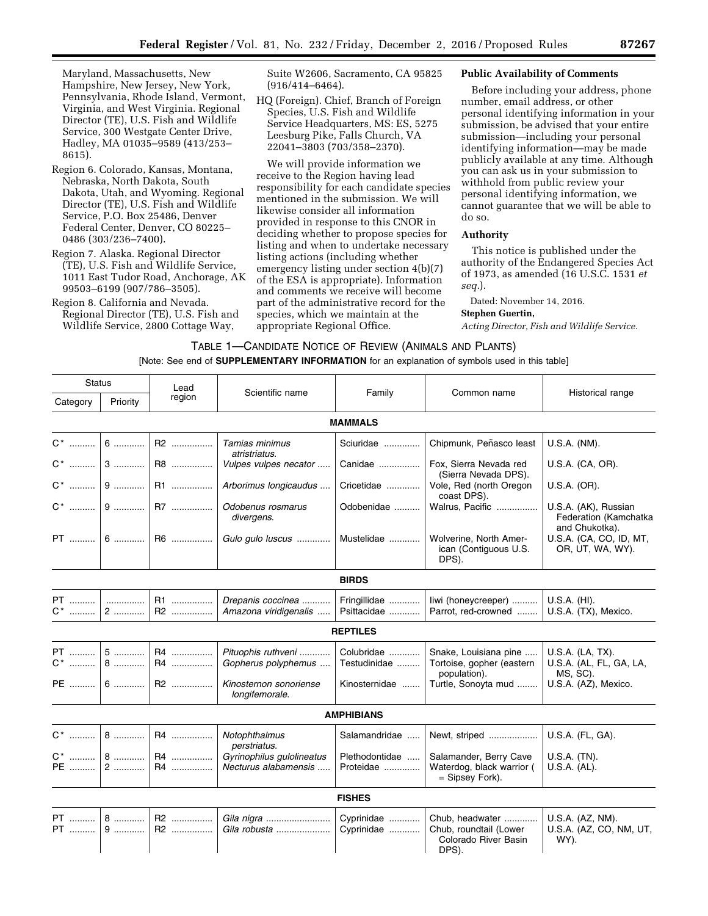Maryland, Massachusetts, New Hampshire, New Jersey, New York, Pennsylvania, Rhode Island, Vermont, Virginia, and West Virginia. Regional Director (TE), U.S. Fish and Wildlife Service, 300 Westgate Center Drive, Hadley, MA 01035–9589 (413/253– 8615).

- Region 6. Colorado, Kansas, Montana, Nebraska, North Dakota, South Dakota, Utah, and Wyoming. Regional Director (TE), U.S. Fish and Wildlife Service, P.O. Box 25486, Denver Federal Center, Denver, CO 80225– 0486 (303/236–7400).
- Region 7. Alaska. Regional Director (TE), U.S. Fish and Wildlife Service, 1011 East Tudor Road, Anchorage, AK 99503–6199 (907/786–3505).
- Region 8. California and Nevada. Regional Director (TE), U.S. Fish and Wildlife Service, 2800 Cottage Way,

Suite W2606, Sacramento, CA 95825 (916/414–6464).

HQ (Foreign). Chief, Branch of Foreign Species, U.S. Fish and Wildlife Service Headquarters, MS: ES, 5275 Leesburg Pike, Falls Church, VA 22041–3803 (703/358–2370).

We will provide information we receive to the Region having lead responsibility for each candidate species mentioned in the submission. We will likewise consider all information provided in response to this CNOR in deciding whether to propose species for listing and when to undertake necessary listing actions (including whether emergency listing under section 4(b)(7) of the ESA is appropriate). Information and comments we receive will become part of the administrative record for the species, which we maintain at the appropriate Regional Office.

### **Public Availability of Comments**

Before including your address, phone number, email address, or other personal identifying information in your submission, be advised that your entire submission—including your personal identifying information—may be made publicly available at any time. Although you can ask us in your submission to withhold from public review your personal identifying information, we cannot guarantee that we will be able to do so.

## **Authority**

This notice is published under the authority of the Endangered Species Act of 1973, as amended (16 U.S.C. 1531 *et seq.*).

Dated: November 14, 2016.

#### **Stephen Guertin,**

*Acting Director, Fish and Wildlife Service.* 

TABLE 1—CANDIDATE NOTICE OF REVIEW (ANIMALS AND PLANTS)

## [Note: See end of **SUPPLEMENTARY INFORMATION** for an explanation of symbols used in this table]

| <b>Status</b>   |            | Lead     | Scientific name                                   | Family                      | Common name                                                                | Historical range                                                |
|-----------------|------------|----------|---------------------------------------------------|-----------------------------|----------------------------------------------------------------------------|-----------------------------------------------------------------|
| Category        | Priority   | region   |                                                   |                             |                                                                            |                                                                 |
|                 |            |          |                                                   | <b>MAMMALS</b>              |                                                                            |                                                                 |
|                 |            | R2       | Tamias minimus<br>atristriatus.                   | Sciuridae                   | Chipmunk, Peñasco least                                                    | U.S.A. (NM).                                                    |
|                 | $C^*$ 3    | R8       | Vulpes vulpes necator                             | Canidae                     | Fox, Sierra Nevada red<br>(Sierra Nevada DPS).                             | U.S.A. (CA, OR).                                                |
|                 |            | R1       | Arborimus longicaudus                             | Cricetidae                  | Vole, Red (north Oregon<br>coast DPS).                                     | U.S.A. (OR).                                                    |
|                 |            | R7       | Odobenus rosmarus<br>divergens.                   | Odobenidae                  | Walrus, Pacific                                                            | U.S.A. (AK), Russian<br>Federation (Kamchatka<br>and Chukotka). |
|                 | PT  6      | R6       | Gulo gulo luscus                                  | Mustelidae                  | Wolverine, North Amer-<br>ican (Contiguous U.S.<br>DPS).                   | U.S.A. (CA, CO, ID, MT,<br>OR, UT, WA, WY).                     |
|                 |            |          |                                                   | <b>BIRDS</b>                |                                                                            |                                                                 |
| PT   <br>$C^*$  | .<br>2     | R1<br>R2 | Drepanis coccinea<br>Amazona viridigenalis        | Fringillidae<br>Psittacidae | liwi (honeycreeper)<br>Parrot, red-crowned                                 | U.S.A. (HI).<br>U.S.A. (TX), Mexico.                            |
|                 |            |          |                                                   | <b>REPTILES</b>             |                                                                            |                                                                 |
| PT   <br>$C^*$  | $5$<br>$8$ | R4<br>R4 | Pituophis ruthveni<br>Gopherus polyphemus         | Colubridae<br>Testudinidae  | Snake, Louisiana pine<br>Tortoise, gopher (eastern<br>population).         | U.S.A. (LA, TX).<br>U.S.A. (AL, FL, GA, LA,<br>MS, SC).         |
|                 | PE  6      | R2       | Kinosternon sonoriense<br>longifemorale.          | Kinosternidae               | Turtle, Sonoyta mud                                                        | U.S.A. (AZ), Mexico.                                            |
|                 |            |          |                                                   | <b>AMPHIBIANS</b>           |                                                                            |                                                                 |
| C <sup>*</sup>  | $8$        | R4       | Notophthalmus<br>perstriatus.                     | Salamandridae               | Newt, striped                                                              | U.S.A. (FL, GA).                                                |
| PE              | $2$        | R4<br>R4 | Gyrinophilus gulolineatus<br>Necturus alabamensis | Plethodontidae<br>Proteidae | Salamander, Berry Cave<br>Waterdog, black warrior (<br>= Sipsey Fork).     | U.S.A. (TN).<br>U.S.A. (AL).                                    |
|                 |            |          |                                                   | <b>FISHES</b>               |                                                                            |                                                                 |
| <b>PT</b><br>PT | $8$<br>$9$ | R2<br>R2 | Gila nigra<br>Gila robusta                        | Cyprinidae<br>Cyprinidae    | Chub, headwater<br>Chub, roundtail (Lower<br>Colorado River Basin<br>DPS). | U.S.A. (AZ, NM).<br>U.S.A. (AZ, CO, NM, UT,<br>WY).             |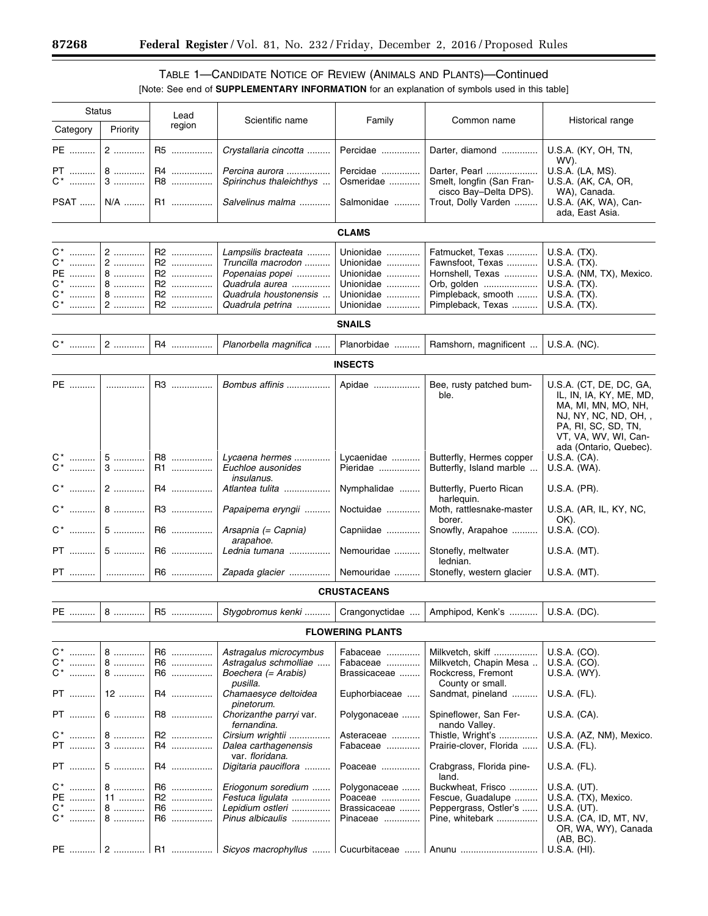۳

# TABLE 1—CANDIDATE NOTICE OF REVIEW (ANIMALS AND PLANTS)—Continued [Note: See end of **SUPPLEMENTARY INFORMATION** for an explanation of symbols used in this table]

| <b>Status</b>                        |                       | Lead                       |                                                                                                         |                                                               |                                                                                               |                                                                                                                                                                             |
|--------------------------------------|-----------------------|----------------------------|---------------------------------------------------------------------------------------------------------|---------------------------------------------------------------|-----------------------------------------------------------------------------------------------|-----------------------------------------------------------------------------------------------------------------------------------------------------------------------------|
| Category                             | Priority              | region                     | Scientific name                                                                                         | Family                                                        | Common name                                                                                   | Historical range                                                                                                                                                            |
| PE                                   | 2                     | R5                         | Crystallaria cincotta                                                                                   | Percidae                                                      | Darter, diamond                                                                               | U.S.A. (KY, OH, TN,<br>WV).                                                                                                                                                 |
| PT ……….<br>$C^*$                     | 8<br>3                | R4<br>R8                   | Percina aurora<br>Spirinchus thaleichthys                                                               | Percidae<br>Osmeridae                                         | Darter, Pearl<br>Smelt, longfin (San Fran-<br>cisco Bay-Delta DPS).                           | U.S.A. (LA, MS).<br>U.S.A. (AK, CA, OR,<br>WA), Canada.                                                                                                                     |
| PSAT                                 | N/A                   | R1                         | Salvelinus malma                                                                                        | Salmonidae                                                    | Trout, Dolly Varden                                                                           | U.S.A. (AK, WA), Can-<br>ada, East Asia.                                                                                                                                    |
|                                      |                       |                            |                                                                                                         | <b>CLAMS</b>                                                  |                                                                                               |                                                                                                                                                                             |
| C* ………<br>C*<br>PE<br>C*   <br>$C^*$ | 2<br>2<br>8<br>8<br>8 | R2<br>R2<br>R2<br>R2<br>R2 | Lampsilis bracteata<br>Truncilla macrodon<br>Popenaias popei<br>Quadrula aurea<br>Quadrula houstonensis | Unionidae<br>Unionidae<br>Unionidae<br>Unionidae<br>Unionidae | Fatmucket, Texas<br>Fawnsfoot, Texas<br>Hornshell, Texas<br>Orb, golden<br>Pimpleback, smooth | U.S.A. (TX).<br>U.S.A. (TX).<br>U.S.A. (NM, TX), Mexico.<br>$U.S.A.$ (TX).<br>U.S.A. (TX).                                                                                  |
| $\mathsf{C}^*$                       | 2                     | R2                         | Quadrula petrina                                                                                        | Unionidae                                                     | Pimpleback, Texas                                                                             | U.S.A. (TX).                                                                                                                                                                |
|                                      |                       |                            |                                                                                                         | <b>SNAILS</b>                                                 |                                                                                               |                                                                                                                                                                             |
|                                      | $2$                   | R4                         | Planorbella magnifica                                                                                   | Planorbidae                                                   | Ramshorn, magnificent                                                                         | U.S.A. (NC).                                                                                                                                                                |
|                                      |                       |                            |                                                                                                         | <b>INSECTS</b>                                                |                                                                                               |                                                                                                                                                                             |
| PE                                   | .                     | R3                         | Bombus affinis                                                                                          | Apidae                                                        | Bee, rusty patched bum-<br>ble.                                                               | U.S.A. (CT, DE, DC, GA,<br>IL, IN, IA, KY, ME, MD,<br>MA, MI, MN, MO, NH,<br>NJ, NY, NC, ND, OH, ,<br>PA, RI, SC, SD, TN,<br>VT, VA, WV, WI, Can-<br>ada (Ontario, Quebec). |
| C*                                   | $5$<br>$3$            | R8<br>R1                   | Lycaena hermes<br>Euchloe ausonides<br><i>insulanus.</i>                                                | Lycaenidae<br>Pieridae                                        | Butterfly, Hermes copper<br>Butterfly, Island marble                                          | U.S.A. (CA).<br>U.S.A. (WA).                                                                                                                                                |
| $C^*$                                | $2$                   | R4                         | Atlantea tulita                                                                                         | Nymphalidae                                                   | Butterfly, Puerto Rican<br>harlequin.                                                         | U.S.A. (PR).                                                                                                                                                                |
| $C^*$                                | 8                     | R3                         | Papaipema eryngii                                                                                       | Noctuidae                                                     | Moth, rattlesnake-master<br>borer.                                                            | U.S.A. (AR, IL, KY, NC,<br>OK).                                                                                                                                             |
| $C^*$                                | $5$                   | R6                         | Arsapnia (= Capnia)<br>arapahoe.                                                                        | Capniidae                                                     | Snowfly, Arapahoe                                                                             | U.S.A. (CO).                                                                                                                                                                |
| <b>PT</b>                            | 5                     | R6                         | Lednia tumana                                                                                           | Nemouridae                                                    | Stonefly, meltwater<br>lednian.                                                               | U.S.A. (MT).                                                                                                                                                                |
| PT ……….                              | .                     | R6                         | Zapada glacier                                                                                          | Nemouridae                                                    | Stonefly, western glacier                                                                     | U.S.A. (MT).                                                                                                                                                                |
|                                      |                       |                            |                                                                                                         | <b>CRUSTACEANS</b>                                            |                                                                                               |                                                                                                                                                                             |
| PE ……….                              | 8                     |                            | Stygobromus kenki                                                                                       | Crangonyctidae                                                | Amphipod, Kenk's                                                                              | U.S.A. (DC).                                                                                                                                                                |
|                                      |                       |                            |                                                                                                         | <b>FLOWERING PLANTS</b>                                       |                                                                                               |                                                                                                                                                                             |
| C* ……….                              | 8                     | R6                         | Astragalus microcymbus                                                                                  | Fabaceae                                                      | Milkvetch, skiff                                                                              | U.S.A. (CO).                                                                                                                                                                |
| C*<br>C*                             | 8<br>8                | R6<br>R6                   | Astragalus schmolliae<br>Boechera (= Arabis)                                                            | Fabaceae<br>Brassicaceae                                      | Milkvetch, Chapin Mesa<br>Rockcress, Fremont                                                  | U.S.A. (CO).<br>U.S.A. (WY).                                                                                                                                                |
| PT                                   | 12                    | R4                         | pusilla.<br>Chamaesyce deltoidea                                                                        | Euphorbiaceae                                                 | County or small.<br>Sandmat, pineland                                                         | U.S.A. (FL).                                                                                                                                                                |
| PT                                   | 6                     | R8                         | pinetorum.<br>Chorizanthe parryi var.                                                                   | Polygonaceae                                                  | Spineflower, San Fer-                                                                         | U.S.A. (CA).                                                                                                                                                                |
| C* ………                               | $8$                   | R2                         | fernandina.<br>Cirsium wrightii                                                                         | Asteraceae                                                    | nando Valley.<br>Thistle, Wright's                                                            | U.S.A. (AZ, NM), Mexico.                                                                                                                                                    |
| PT                                   | 3                     | R4                         | Dalea carthagenensis<br>var. floridana.                                                                 | Fabaceae                                                      | Prairie-clover, Florida                                                                       | U.S.A. (FL).                                                                                                                                                                |
| PT                                   | 5                     | R4                         | Digitaria pauciflora                                                                                    | Poaceae                                                       | Crabgrass, Florida pine-<br>land.                                                             | U.S.A. (FL).                                                                                                                                                                |
| C* ……….                              | 8                     | R6                         | Eriogonum soredium                                                                                      | Polygonaceae                                                  | Buckwheat, Frisco                                                                             | U.S.A. (UT).                                                                                                                                                                |
| PE                                   | $11$                  | R2                         | Festuca ligulata                                                                                        | Poaceae                                                       | Fescue, Guadalupe                                                                             | U.S.A. (TX), Mexico.                                                                                                                                                        |
| C*                                   | 8                     | R6                         | Lepidium ostleri                                                                                        | Brassicaceae                                                  | Peppergrass, Ostler's                                                                         | U.S.A. (UT).                                                                                                                                                                |
| C*                                   | 8                     | R6<br>R1                   | Pinus albicaulis                                                                                        | Pinaceae                                                      | Pine, whitebark<br>Anunu                                                                      | U.S.A. (CA, ID, MT, NV,<br>OR, WA, WY), Canada<br>$(AB, BC)$ .                                                                                                              |
|                                      |                       |                            | Sicyos macrophyllus                                                                                     | Cucurbitaceae                                                 |                                                                                               | U.S.A. (HI).                                                                                                                                                                |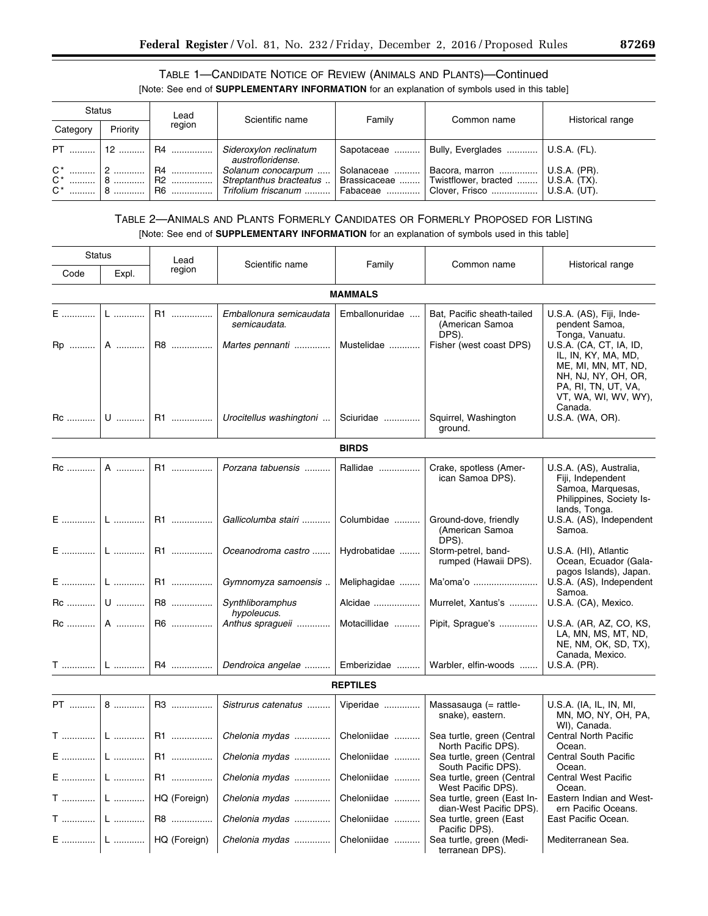# TABLE 1—CANDIDATE NOTICE OF REVIEW (ANIMALS AND PLANTS)—Continued [Note: See end of **SUPPLEMENTARY INFORMATION** for an explanation of symbols used in this table]

| <b>Status</b> |          | Lead                               | Scientific name                                                      | Family                 | Common name                                                                                                              | Historical range |
|---------------|----------|------------------------------------|----------------------------------------------------------------------|------------------------|--------------------------------------------------------------------------------------------------------------------------|------------------|
| Category      | Priority | region                             |                                                                      |                        |                                                                                                                          |                  |
|               |          | PT    12    R4                     | Sideroxylon reclinatum<br>austrofloridense.                          | Sapotaceae             | Bully, Everglades    U.S.A. (FL).                                                                                        |                  |
|               | $18$ 1   | $C^*$   2    R4<br>$C^*$   8    R2 | Solanum conocarpum<br>Streptanthus bracteatus<br>Trifolium friscanum | Solanaceae<br>Fabaceae | Bacora, marron    U.S.A. (PR).<br>Brassicaceae  Twistflower, bracted    U.S.A. (TX).<br>  Clover, Frisco    U.S.A. (UT). |                  |

# TABLE 2—ANIMALS AND PLANTS FORMERLY CANDIDATES OR FORMERLY PROPOSED FOR LISTING [Note: See end of **SUPPLEMENTARY INFORMATION** for an explanation of symbols used in this table]

| <b>Status</b>       |                   | Lead         |                                         |                 |                                                        |                                                                                                                                                        |  |  |  |
|---------------------|-------------------|--------------|-----------------------------------------|-----------------|--------------------------------------------------------|--------------------------------------------------------------------------------------------------------------------------------------------------------|--|--|--|
| Code                | Expl.             | region       | Scientific name                         | Family          | Common name                                            | Historical range                                                                                                                                       |  |  |  |
|                     | <b>MAMMALS</b>    |              |                                         |                 |                                                        |                                                                                                                                                        |  |  |  |
| $E$                 | $\mathsf{L}$      | R1           | Emballonura semicaudata<br>semicaudata. | Emballonuridae  | Bat, Pacific sheath-tailed<br>(American Samoa<br>DPS). | U.S.A. (AS), Fiji, Inde-<br>pendent Samoa,<br>Tonga, Vanuatu.                                                                                          |  |  |  |
| Rp                  | A                 | R8           | Martes pennanti                         | Mustelidae      | Fisher (west coast DPS)                                | U.S.A. (CA, CT, IA, ID,<br>IL, IN, KY, MA, MD,<br>ME, MI, MN, MT, ND,<br>NH, NJ, NY, OH, OR,<br>PA, RI, TN, UT, VA,<br>VT, WA, WI, WV, WY),<br>Canada. |  |  |  |
| Rc    U             |                   | R1           | Urocitellus washingtoni                 | Sciuridae       | Squirrel, Washington<br>ground.                        | U.S.A. (WA, OR).                                                                                                                                       |  |  |  |
|                     |                   |              |                                         | <b>BIRDS</b>    |                                                        |                                                                                                                                                        |  |  |  |
| Rc                  | A                 | R1           | Porzana tabuensis                       | Rallidae        | Crake, spotless (Amer-<br>ican Samoa DPS).             | U.S.A. (AS), Australia,<br>Fiji, Independent<br>Samoa, Marquesas,<br>Philippines, Society Is-<br>lands, Tonga.                                         |  |  |  |
| E    L              |                   | R1           | Gallicolumba stairi                     | Columbidae      | Ground-dove, friendly<br>(American Samoa<br>DPS).      | U.S.A. (AS), Independent<br>Samoa.                                                                                                                     |  |  |  |
| E  I                | ${\mathsf L}$     | R1           | Oceanodroma castro                      | Hydrobatidae    | Storm-petrel, band-<br>rumped (Hawaii DPS).            | U.S.A. (HI), Atlantic<br>Ocean, Ecuador (Gala-<br>pagos Islands), Japan.                                                                               |  |  |  |
|                     | E    L            | R1           | Gymnomyza samoensis                     | Meliphagidae    | Ma'oma'o                                               | U.S.A. (AS), Independent<br>Samoa.                                                                                                                     |  |  |  |
|                     | $\mathsf{Rc}$   U | R8           | Synthliboramphus<br>hypoleucus.         | Alcidae         | Murrelet, Xantus's                                     | U.S.A. (CA), Mexico.                                                                                                                                   |  |  |  |
| $\overline{Rc}$   A |                   | R6           | Anthus spragueii                        | Motacillidae    | Pipit, Sprague's                                       | U.S.A. (AR, AZ, CO, KS,<br>LA, MN, MS, MT, ND,<br>NE, NM, OK, SD, TX),<br>Canada, Mexico.                                                              |  |  |  |
|                     | T ……………   L …………. | R4           | Dendroica angelae                       | Emberizidae     | Warbler, elfin-woods                                   | U.S.A. (PR).                                                                                                                                           |  |  |  |
|                     |                   |              |                                         | <b>REPTILES</b> |                                                        |                                                                                                                                                        |  |  |  |
| PT                  | 8                 | R3           | Sistrurus catenatus                     | Viperidae       | Massasauga (= rattle-<br>snake), eastern.              | U.S.A. (IA, IL, IN, MI,<br>MN, MO, NY, OH, PA,<br>WI), Canada.                                                                                         |  |  |  |
| T ……………             | L                 | R1           | Chelonia mydas                          | Cheloniidae     | Sea turtle, green (Central<br>North Pacific DPS).      | Central North Pacific<br>Ocean.                                                                                                                        |  |  |  |
|                     |                   |              | E    L    R1    Chelonia mydas          | Cheloniidae     | Sea turtle, green (Central<br>South Pacific DPS).      | <b>Central South Pacific</b><br>Ocean.                                                                                                                 |  |  |  |
| E                   | L                 | R1           | Chelonia mydas                          | Cheloniidae     | Sea turtle, green (Central<br>West Pacific DPS).       | Central West Pacific<br>Ocean.                                                                                                                         |  |  |  |
| T    L              |                   | HQ (Foreign) | Chelonia mydas                          | Cheloniidae     | Sea turtle, green (East In-<br>dian-West Pacific DPS). | Eastern Indian and West-<br>ern Pacific Oceans.                                                                                                        |  |  |  |
| $T$   L             |                   | R8           | Chelonia mydas                          | Cheloniidae     | Sea turtle, green (East<br>Pacific DPS).               | East Pacific Ocean.                                                                                                                                    |  |  |  |
| E    L              |                   | HQ (Foreign) | Chelonia mydas                          | Cheloniidae     | Sea turtle, green (Medi-<br>terranean DPS).            | Mediterranean Sea.                                                                                                                                     |  |  |  |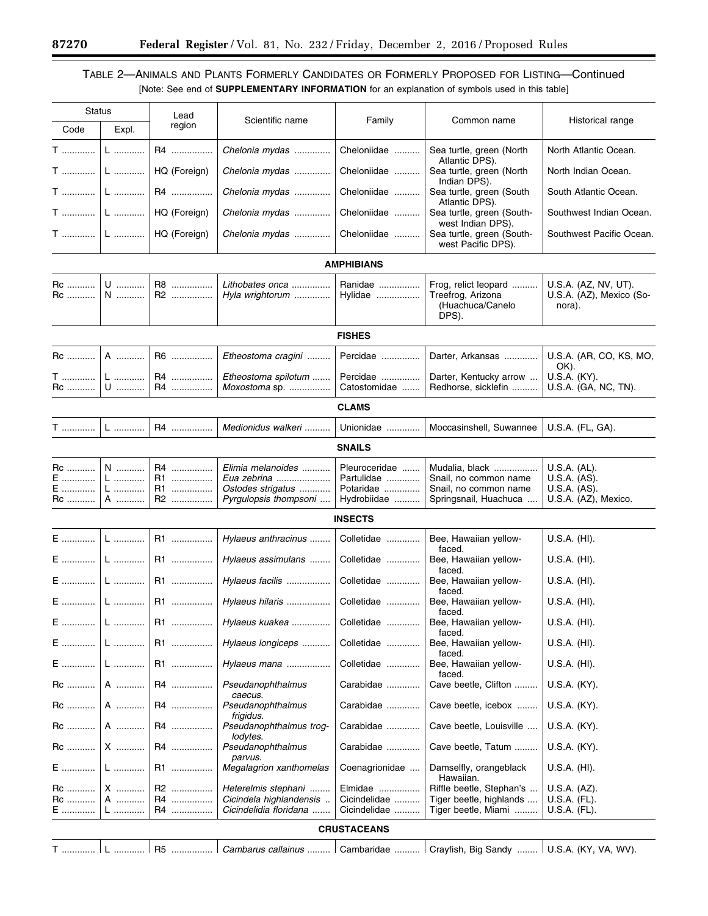# TABLE 2—ANIMALS AND PLANTS FORMERLY CANDIDATES OR FORMERLY PROPOSED FOR LISTING—Continued [Note: See end of **SUPPLEMENTARY INFORMATION** for an explanation of symbols used in this table]

| <b>Status</b>     |                | Lead         |                                                |                          |                                                     |                                      |  |  |  |
|-------------------|----------------|--------------|------------------------------------------------|--------------------------|-----------------------------------------------------|--------------------------------------|--|--|--|
| Code              | Expl.          | region       | Scientific name                                | Family                   | Common name                                         | Historical range                     |  |  |  |
| <b>T</b>          | L              | R4           | Chelonia mydas                                 | Cheloniidae              | Sea turtle, green (North<br>Atlantic DPS).          | North Atlantic Ocean.                |  |  |  |
| $T$               | L              | HQ (Foreign) | Chelonia mydas                                 | Cheloniidae              | Sea turtle, green (North<br>Indian DPS).            | North Indian Ocean.                  |  |  |  |
| $T$               | L              | R4           | Chelonia mydas                                 | Cheloniidae              | Sea turtle, green (South<br>Atlantic DPS).          | South Atlantic Ocean.                |  |  |  |
| $T$               | L              | HQ (Foreign) | Chelonia mydas                                 | Cheloniidae              | Sea turtle, green (South-<br>west Indian DPS).      | Southwest Indian Ocean.              |  |  |  |
| <b>T</b>          | L              | HQ (Foreign) | Chelonia mydas                                 | Cheloniidae              | Sea turtle, green (South-<br>west Pacific DPS).     | Southwest Pacific Ocean.             |  |  |  |
| <b>AMPHIBIANS</b> |                |              |                                                |                          |                                                     |                                      |  |  |  |
| Rc                | U              | R8           | Lithobates onca                                | Ranidae                  | Frog, relict leopard                                | U.S.A. (AZ, NV, UT).                 |  |  |  |
| Rc                | N              | R2           | Hyla wrightorum                                | Hylidae                  | Treefrog, Arizona<br>(Huachuca/Canelo<br>DPS).      | U.S.A. (AZ), Mexico (So-<br>nora).   |  |  |  |
|                   |                |              |                                                | <b>FISHES</b>            |                                                     |                                      |  |  |  |
| <b>Rc</b>         | A              | R6           | Etheostoma cragini                             | Percidae                 | Darter, Arkansas                                    | U.S.A. (AR, CO, KS, MO,<br>OK).      |  |  |  |
| T<br>Rc           | L<br>${\sf U}$ | R4<br>R4     | Etheostoma spilotum<br>Moxostoma sp.           | Percidae<br>Catostomidae | Darter, Kentucky arrow<br>Redhorse, sicklefin       | U.S.A. (KY).<br>U.S.A. (GA, NC, TN). |  |  |  |
| <b>CLAMS</b>      |                |              |                                                |                          |                                                     |                                      |  |  |  |
| <b>T</b>          | L              | R4           | Medionidus walkeri                             | Unionidae                | Moccasinshell, Suwannee                             | U.S.A. (FL, GA).                     |  |  |  |
|                   |                |              |                                                | <b>SNAILS</b>            |                                                     |                                      |  |  |  |
| Rc                | N              | R4           | Elimia melanoides                              | Pleuroceridae            | Mudalia, black                                      | U.S.A. (AL).                         |  |  |  |
| E<br>E            | $L$<br>L       | R1<br>R1     | Eua zebrina<br>Ostodes strigatus               | Partulidae<br>Potaridae  | Snail, no common name<br>Snail, no common name      | U.S.A. (AS).<br>U.S.A. (AS).         |  |  |  |
| Rc                | A              | R2           | Pyrgulopsis thompsoni                          | Hydrobiidae              | Springsnail, Huachuca                               | U.S.A. (AZ), Mexico.                 |  |  |  |
|                   |                |              |                                                | <b>INSECTS</b>           |                                                     |                                      |  |  |  |
| $E$               | L              | R1           | Hylaeus anthracinus                            | Colletidae               | Bee, Hawaiian yellow-<br>faced.                     | U.S.A. (HI).                         |  |  |  |
| $E$               | ${\mathsf L}$  | R1           | Hylaeus assimulans                             | Colletidae               | Bee, Hawaiian yellow-<br>faced.                     | U.S.A. (HI).                         |  |  |  |
| $E$               | L              | R1           | Hylaeus facilis                                | Colletidae               | Bee, Hawaiian yellow-<br>faced.                     | U.S.A. (HI).                         |  |  |  |
| E                 | L              | R1           | Hylaeus hilaris                                | Colletidae               | Bee, Hawaiian yellow-<br>faced.                     | U.S.A. (HI).                         |  |  |  |
| E                 |                | R1           | Hylaeus kuakea                                 | Colletidae               | Bee, Hawaiian yellow-<br>faced.                     | U.S.A. (HI).                         |  |  |  |
| E                 | L              | R1           | Hylaeus longiceps                              | Colletidae               | Bee, Hawaiian yellow-<br>faced.                     | U.S.A. (HI).                         |  |  |  |
| E                 | L              | R1           | Hylaeus mana                                   | Colletidae               | Bee, Hawaiian yellow-<br>faced.                     | U.S.A. (HI).                         |  |  |  |
| Rc                | A              | R4           | Pseudanophthalmus<br>caecus.                   | Carabidae                | Cave beetle, Clifton                                | U.S.A. (KY).                         |  |  |  |
| Rc                | A              | R4           | Pseudanophthalmus<br>frigidus.                 | Carabidae                | Cave beetle, icebox                                 | U.S.A. (KY).                         |  |  |  |
| Rc                | A              | R4           | Pseudanophthalmus trog-<br>lodytes.            | Carabidae                | Cave beetle, Louisville                             | U.S.A. (KY).                         |  |  |  |
| Rc                | X              | R4           | Pseudanophthalmus<br>parvus.                   | Carabidae                | Cave beetle, Tatum                                  | U.S.A. (KY).                         |  |  |  |
| E                 | L              | R1           | <b>Megalagrion xanthomelas</b>                 | Coenagrionidae           | Damselfly, orangeblack<br>Hawaiian.                 | U.S.A. (HI).                         |  |  |  |
| Rc<br>Rc          | X<br>A         | R2<br>R4     | Heterelmis stephani<br>Cicindela highlandensis | Elmidae<br>Cicindelidae  | Riffle beetle, Stephan's<br>Tiger beetle, highlands | U.S.A. (AZ).<br>U.S.A. (FL).         |  |  |  |
| E                 | L              | R4           | Cicindelidia floridana                         | Cicindelidae             | Tiger beetle, Miami                                 | U.S.A. (FL).                         |  |  |  |
|                   |                |              |                                                | <b>CRUSTACEANS</b>       |                                                     |                                      |  |  |  |
| T                 |                | R5           | Cambarus callainus                             | Cambaridae               | Crayfish, Big Sandy    U.S.A. (KY, VA, WV).         |                                      |  |  |  |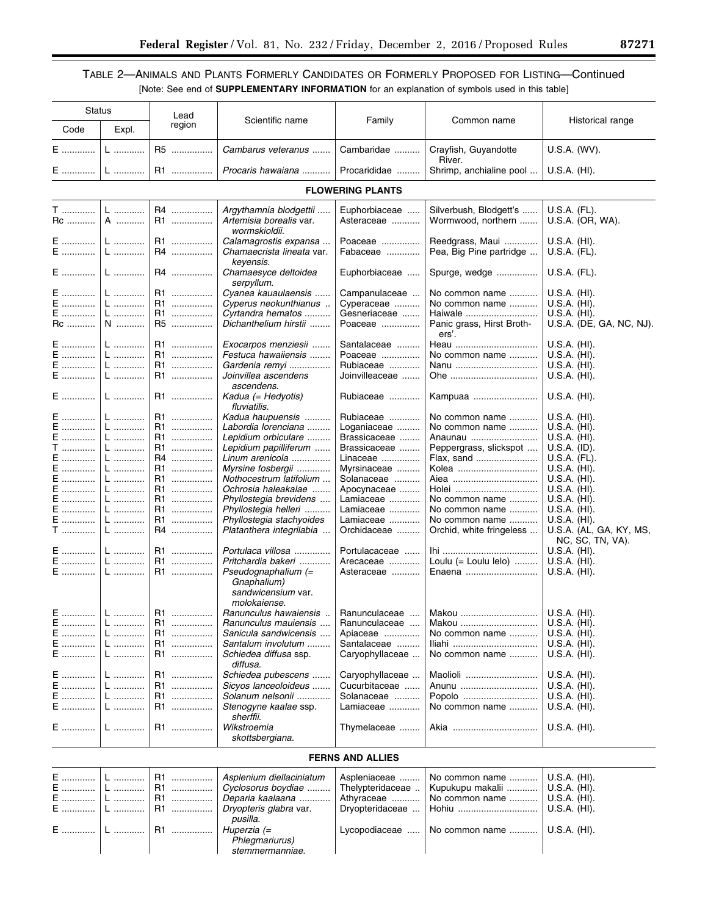# TABLE 2—ANIMALS AND PLANTS FORMERLY CANDIDATES OR FORMERLY PROPOSED FOR LISTING—Continued [Note: See end of **SUPPLEMENTARY INFORMATION** for an explanation of symbols used in this table]

|                | Status            | Lead                |                                                                            |                             |                                              |                                             |
|----------------|-------------------|---------------------|----------------------------------------------------------------------------|-----------------------------|----------------------------------------------|---------------------------------------------|
| Code           | Expl.             | region              | Scientific name                                                            | Family                      | Common name                                  | Historical range                            |
| E              | L                 | R5                  | Cambarus veteranus                                                         | Cambaridae                  | Crayfish, Guyandotte<br>River.               | U.S.A. (WV).                                |
| E              | L                 | R1                  | Procaris hawaiana                                                          | Procarididae                | Shrimp, anchialine pool                      | U.S.A. (HI).                                |
|                |                   |                     |                                                                            | <b>FLOWERING PLANTS</b>     |                                              |                                             |
|                |                   |                     |                                                                            |                             |                                              |                                             |
| T<br>Rc        | $\mathsf{L}$<br>A | R4<br>R1            | Argythamnia blodgettii<br>Artemisia borealis var.<br>wormskioldii.         | Euphorbiaceae<br>Asteraceae | Silverbush, Blodgett's<br>Wormwood, northern | U.S.A. (FL).<br>U.S.A. (OR, WA).            |
| E<br>${\sf E}$ | $L$<br>L          | R1<br>R4            | Calamagrostis expansa<br>Chamaecrista lineata var.<br>keyensis.            | Poaceae<br>Fabaceae         | Reedgrass, Maui<br>Pea, Big Pine partridge   | U.S.A. (HI).<br>U.S.A. (FL).                |
| E              | $\mathsf{L}$      | R4                  | Chamaesyce deltoidea<br>serpyllum.                                         | Euphorbiaceae               | Spurge, wedge                                | U.S.A. (FL).                                |
| E              | $L$               | R1                  | Cyanea kauaulaensis                                                        | Campanulaceae               | No common name                               | U.S.A. (HI).                                |
| E              | L                 | R1                  | Cyperus neokunthianus                                                      | Cyperaceae                  | No common name                               | U.S.A. (HI).                                |
| E              | L                 | R1<br>.             | Cyrtandra hematos                                                          | Gesneriaceae                | Haiwale                                      | U.S.A. (HI).                                |
| Rc             | N                 | R5                  | Dichanthelium hirstii                                                      | Poaceae                     | Panic grass, Hirst Broth-<br>ers'.           | U.S.A. (DE, GA, NC, NJ).                    |
| E              | $L$               | R1                  | Exocarpos menziesii                                                        | Santalaceae                 | Heau                                         | U.S.A. (HI).                                |
| E              | $\mathsf{L}$      | R1<br>              | Festuca hawaiiensis                                                        | Poaceae                     | No common name                               | U.S.A. (HI).                                |
| E              | $L$               | R1<br>.             | Gardenia remyi                                                             | Rubiaceae                   | Nanu                                         | U.S.A. (HI).                                |
| E              | L                 | R1<br>.             | Joinvillea ascendens<br>ascendens.                                         | Joinvilleaceae              | Ohe                                          | U.S.A. (HI).                                |
| $E$            | L                 | R1                  | Kadua (= Hedyotis)<br>fluviatilis.                                         | Rubiaceae                   | Kampuaa                                      | U.S.A. (HI).                                |
| E              | L                 | R1<br>.             | Kadua haupuensis                                                           | Rubiaceae                   | No common name                               | U.S.A. (HI).                                |
| E              | L                 | R1<br>.             | Labordia lorenciana                                                        | Loganiaceae                 | No common name                               | U.S.A. (HI).                                |
| E              | $\mathsf{L}$      | R1<br>              | Lepidium orbiculare                                                        | Brassicaceae                | Anaunau                                      | U.S.A. (HI).                                |
| T              | L                 | R1<br>.             | Lepidium papilliferum                                                      | Brassicaceae                | Peppergrass, slickspot                       | U.S.A. (ID).                                |
| E              | $L$               | R <sub>4</sub><br>. | Linum arenicola                                                            | Linaceae                    | Flax, sand                                   | U.S.A. (FL).                                |
| E              | $L$               | R1<br>.             | Myrsine fosbergii                                                          | Myrsinaceae                 | Kolea                                        | U.S.A. (HI).                                |
| E              | $L$               | R1<br>.             | Nothocestrum latifolium                                                    |                             |                                              | U.S.A. (HI).                                |
|                |                   |                     |                                                                            | Solanaceae                  |                                              |                                             |
| $E$            | L                 | R1<br>.             | Ochrosia haleakalae                                                        | Apocynaceae                 | Holei                                        | U.S.A. (HI).                                |
| E              | $\mathsf{L}$      | R1<br>              | Phyllostegia brevidens                                                     | Lamiaceae                   | No common name                               | U.S.A. (HI).                                |
| E              | L                 | R1<br>.             | Phyllostegia helleri                                                       | Lamiaceae                   | No common name                               | U.S.A. (HI).                                |
| E              | $\mathsf{L}$      | R1<br>.             | Phyllostegia stachyoides                                                   | Lamiaceae                   | No common name                               | U.S.A. (HI).                                |
| T              | L                 | R4                  | Platanthera integrilabia                                                   | Orchidaceae                 | Orchid, white fringeless                     | U.S.A. (AL, GA, KY, MS,<br>NC, SC, TN, VA). |
| E<br>E         | L<br>$L$          | R1<br>.<br>R1<br>.  | Portulaca villosa<br>Pritchardia bakeri                                    | Portulacaceae<br>Arecaceae  | Loulu $(=$ Loulu lelo $)$                    | U.S.A. (HI).<br>U.S.A. (HI).                |
| E              | L                 | R1                  | Pseudognaphalium $(=$<br>Gnaphalium)<br>sandwicensium var.<br>molokaiense. | Asteraceae                  | Enaena                                       | U.S.A. (HI).                                |
| E              | $\mathsf{L}$      | R1                  | Ranunculus hawaiensis                                                      |                             | Ranunculaceae    Makou                       | U.S.A. (HI).                                |
| E              | L                 | R1<br>.             | Ranunculus mauiensis                                                       | Ranunculaceae               | Makou                                        | U.S.A. (HI).                                |
| E              | L                 | R1<br>.             | Sanicula sandwicensis                                                      | Apiaceae                    | No common name                               | U.S.A. (HI).                                |
| E<br>.         | L                 | R1<br>.             | Santalum involutum                                                         | Santalaceae                 | Iliahi                                       | U.S.A. (HI).                                |
| E              | L                 | R1.<br>             | Schiedea diffusa ssp.<br>diffusa.                                          | Caryophyllaceae             | No common name                               | U.S.A. (HI).                                |
| E              | L                 | R1<br>              | Schiedea pubescens                                                         | Caryophyllaceae             | Maolioli                                     | U.S.A. (HI).                                |
| E              | L                 | R1.<br>.            | Sicvos lanceoloideus                                                       | Cucurbitaceae               | Anunu                                        | U.S.A. (HI).                                |
| E              | L                 | R1<br>.             | Solanum nelsonii                                                           | Solanaceae                  | Popolo                                       | U.S.A. (HI).                                |
| E              | L                 | R1.<br>.            | Stenogyne kaalae ssp.<br>sherffii.                                         | Lamiaceae                   | No common name                               | U.S.A. (HI).                                |
| E              | L                 | R1                  | Wikstroemia<br>skottsbergiana.                                             | Thymelaceae                 | Akia                                         | U.S.A. (HI).                                |
|                |                   |                     |                                                                            | <b>FERNS AND ALLIES</b>     |                                              |                                             |
|                |                   |                     |                                                                            |                             |                                              |                                             |
| E              |                   | R1<br>.             | Asplenium diellaciniatum                                                   | Aspleniaceae                | No common name                               | U.S.A. (HI).                                |
| Е              | L                 | R1<br>.             | Cyclosorus boydiae                                                         | Thelypteridaceae            | Kupukupu makalii                             | U.S.A. (HI).                                |
| Е              |                   | R1<br>.             | Deparia kaalaana                                                           | Athyraceae                  | No common name                               | U.S.A. (HI).                                |
| E.             |                   | R1<br>.             | Dryopteris glabra var.                                                     | Dryopteridaceae             | Hohiu                                        | U.S.A. (HI).                                |

Lycopodiaceae ..... | No common name ........... | U.S.A. (HI).

*pusilla*.

*Phlegmariurus) stemmermanniae*.

E ............. L ............ R1 ................ *Huperzia (=*